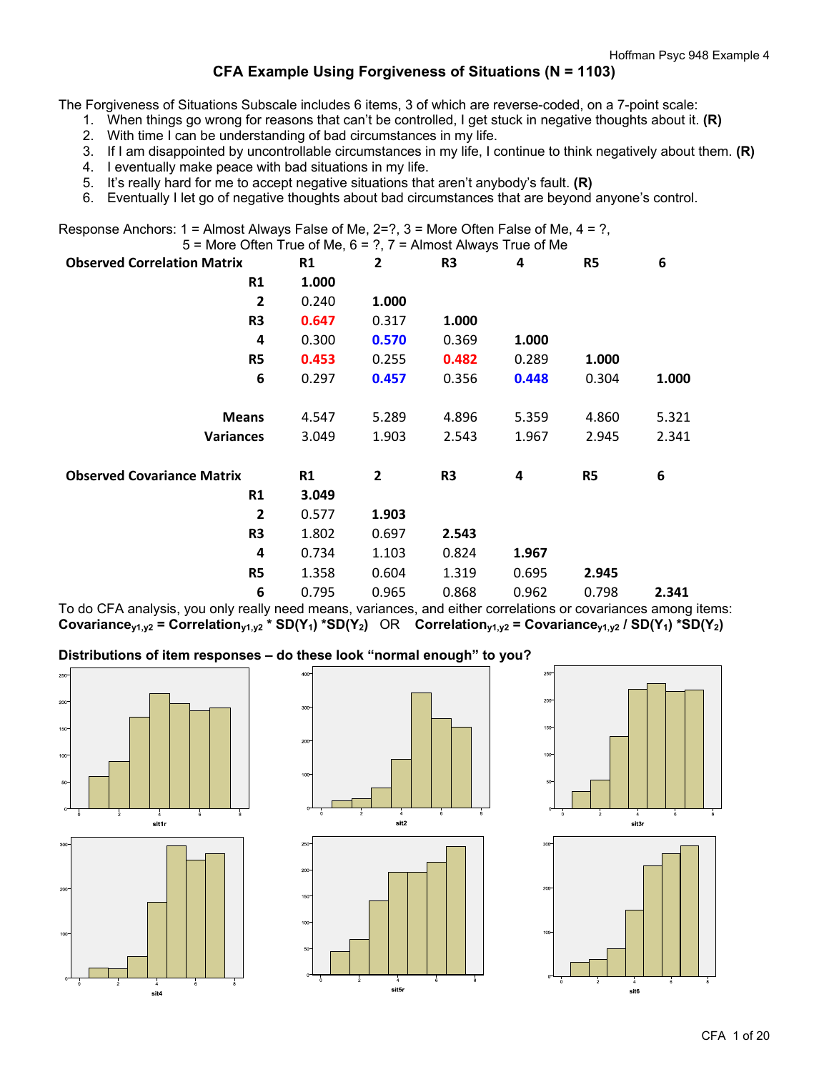# **CFA Example Using Forgiveness of Situations (N = 1103)**

The Forgiveness of Situations Subscale includes 6 items, 3 of which are reverse-coded, on a 7-point scale:

1. When things go wrong for reasons that can't be controlled, I get stuck in negative thoughts about it. **(R)**

- 2. With time I can be understanding of bad circumstances in my life.
- 3. If I am disappointed by uncontrollable circumstances in my life, I continue to think negatively about them. **(R)**
- 4. I eventually make peace with bad situations in my life.
- 5. It's really hard for me to accept negative situations that aren't anybody's fault. **(R)**
- 6. Eventually I let go of negative thoughts about bad circumstances that are beyond anyone's control.

Response Anchors:  $1 =$  Almost Always False of Me,  $2=$ ?,  $3 =$  More Often False of Me,  $4 = ?$ ,  $5$  = More Often True of Me,  $6$  = ?,  $7$  = Almost Always True of Me

| <b>Observed Correlation Matrix</b> | R1    | $\overline{2}$ | R <sub>3</sub> | 4     | R5             | 6     |
|------------------------------------|-------|----------------|----------------|-------|----------------|-------|
| R1                                 | 1.000 |                |                |       |                |       |
| $\overline{2}$                     | 0.240 | 1.000          |                |       |                |       |
| R3                                 | 0.647 | 0.317          | 1.000          |       |                |       |
| 4                                  | 0.300 | 0.570          | 0.369          | 1.000 |                |       |
| R5                                 | 0.453 | 0.255          | 0.482          | 0.289 | 1.000          |       |
| 6                                  | 0.297 | 0.457          | 0.356          | 0.448 | 0.304          | 1.000 |
| <b>Means</b>                       | 4.547 | 5.289          | 4.896          | 5.359 | 4.860          | 5.321 |
| <b>Variances</b>                   | 3.049 | 1.903          | 2.543          | 1.967 | 2.945          | 2.341 |
| <b>Observed Covariance Matrix</b>  | R1    | $\mathbf{2}$   | R <sub>3</sub> | 4     | R <sub>5</sub> | 6     |
| R1                                 | 3.049 |                |                |       |                |       |
| $\overline{2}$                     | 0.577 | 1.903          |                |       |                |       |
| R <sub>3</sub>                     | 1.802 | 0.697          | 2.543          |       |                |       |
| 4                                  | 0.734 | 1.103          | 0.824          | 1.967 |                |       |
| R5                                 | 1.358 | 0.604          | 1.319          | 0.695 | 2.945          |       |
| 6                                  | 0.795 | 0.965          | 0.868          | 0.962 | 0.798          | 2.341 |

To do CFA analysis, you only really need means, variances, and either correlations or covariances among items: Covariance<sub>y1,y2</sub> = Correlation<sub>y1,y2</sub> \* SD(Y<sub>1</sub>) \*SD(Y<sub>2</sub>) OR Correlation<sub>y1,y2</sub> = Covariance<sub>y1,y2</sub> / SD(Y<sub>1</sub>) \*SD(Y<sub>2</sub>)

### **Distributions of item responses – do these look "normal enough" to you?**





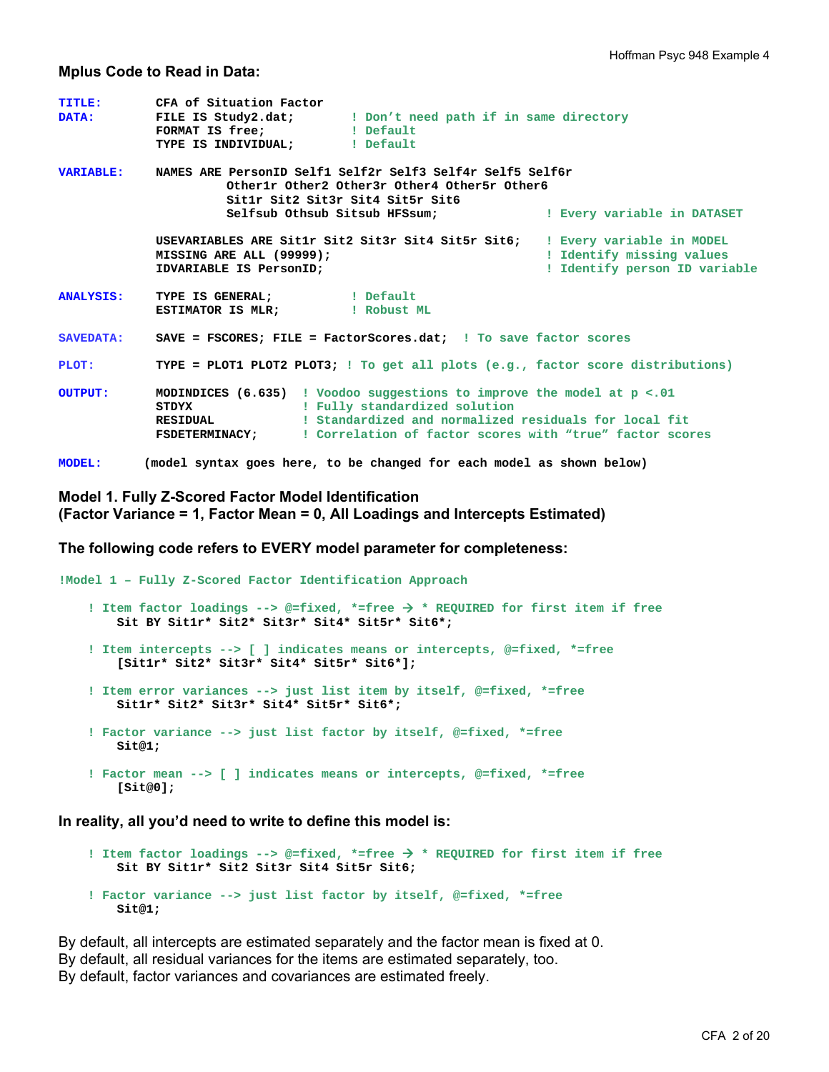#### **Mplus Code to Read in Data:**

| <b>TITLE:</b><br><b>DATA:</b> | CFA of Situation Factor<br>FILE IS Study2.dat; I Don't need path if in same directory<br>FORMAT IS free;   Default<br>TYPE IS INDIVIDUAL;    ! Default                                                                                                                             |                                                            |  |  |  |  |
|-------------------------------|------------------------------------------------------------------------------------------------------------------------------------------------------------------------------------------------------------------------------------------------------------------------------------|------------------------------------------------------------|--|--|--|--|
| <b>VARIABLE:</b>              | NAMES ARE PersonID Self1 Self2r Self3 Self4r Self5 Self6r<br>Otherlr Other2 Other3r Other4 Other5r Other6<br>Sitlr Sit2 Sit3r Sit4 Sit5r Sit6<br>Selfsub Othsub Sitsub HFSsum; The Merry variable in DATASET                                                                       |                                                            |  |  |  |  |
|                               | USEVARIABLES ARE Sitlr Sit2 Sit3r Sit4 Sit5r Sit6; I Every variable in MODEL<br>MISSING ARE ALL (99999);<br>IDVARIABLE IS PersonID;                                                                                                                                                | ! Identify missing values<br>! Identify person ID variable |  |  |  |  |
| <b>ANALYSIS:</b>              | TYPE IS GENERAL; [ Default<br>ESTIMATOR IS MLR: [Robust ML                                                                                                                                                                                                                         |                                                            |  |  |  |  |
| <b>SAVEDATA:</b>              | SAVE = FSCORES: FILE = FactorScores.dat: ! To save factor scores                                                                                                                                                                                                                   |                                                            |  |  |  |  |
| PLOT:                         | TYPE = PLOT1 PLOT2 PLOT3; ! To get all plots $(e.g., factor score distributions)$                                                                                                                                                                                                  |                                                            |  |  |  |  |
| <b>OUTPUT:</b>                | MODINDICES (6.635) ! Voodoo suggestions to improve the model at p <. 01<br>! Fully standardized solution<br>STDYX<br>! Standardized and normalized residuals for local fit<br><b>RESIDUAL</b><br>! Correlation of factor scores with "true" factor scores<br><b>FSDETERMINACY:</b> |                                                            |  |  |  |  |
| <b>MODEL:</b>                 | (model syntax goes here, to be changed for each model as shown below)                                                                                                                                                                                                              |                                                            |  |  |  |  |

### **Model 1. Fully Z-Scored Factor Model Identification (Factor Variance = 1, Factor Mean = 0, All Loadings and Intercepts Estimated)**

**The following code refers to EVERY model parameter for completeness:** 

```
!Model 1 – Fully Z-Scored Factor Identification Approach 
     ! Item factor loadings --> @=fixed, *=free  * REQUIRED for first item if free 
         Sit BY Sit1r* Sit2* Sit3r* Sit4* Sit5r* Sit6*; 
     ! Item intercepts --> [ ] indicates means or intercepts, @=fixed, *=free 
         [Sit1r* Sit2* Sit3r* Sit4* Sit5r* Sit6*]; 
     ! Item error variances --> just list item by itself, @=fixed, *=free 
         Sit1r* Sit2* Sit3r* Sit4* Sit5r* Sit6*; 
     ! Factor variance --> just list factor by itself, @=fixed, *=free 
        Sit@1; 
     ! Factor mean --> [ ] indicates means or intercepts, @=fixed, *=free 
         [Sit@0];
```
**In reality, all you'd need to write to define this model is:** 

```
 ! Item factor loadings --> @=fixed, *=free  * REQUIRED for first item if free 
    Sit BY Sit1r* Sit2 Sit3r Sit4 Sit5r Sit6; 
 ! Factor variance --> just list factor by itself, @=fixed, *=free 
    Sit@1;
```
By default, all intercepts are estimated separately and the factor mean is fixed at 0. By default, all residual variances for the items are estimated separately, too. By default, factor variances and covariances are estimated freely.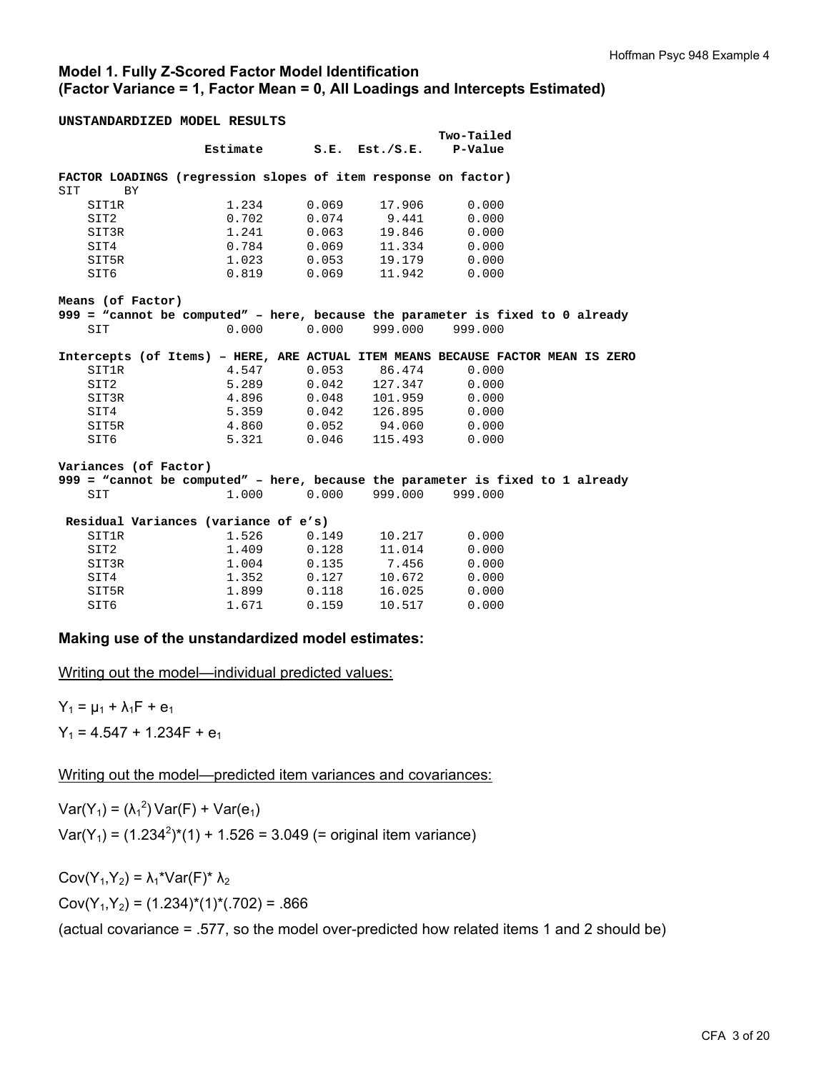### **Model 1. Fully Z-Scored Factor Model Identification (Factor Variance = 1, Factor Mean = 0, All Loadings and Intercepts Estimated)**

**UNSTANDARDIZED MODEL RESULTS** 

|       |                       |                                                                |                         |                         | Two-Tailed      |                                                                                 |
|-------|-----------------------|----------------------------------------------------------------|-------------------------|-------------------------|-----------------|---------------------------------------------------------------------------------|
|       |                       |                                                                | Estimate S.E. Est./S.E. |                         | <b>P-Value</b>  |                                                                                 |
|       |                       |                                                                |                         |                         |                 |                                                                                 |
|       |                       | FACTOR LOADINGS (regression slopes of item response on factor) |                         |                         |                 |                                                                                 |
| SIT   | <b>BY</b>             |                                                                |                         |                         |                 |                                                                                 |
|       | SIT1R                 | 1.234                                                          | 0.069                   | 17.906                  | 0.000           |                                                                                 |
| SIT2  |                       | 0.702                                                          | 0.074                   | 9.441                   | 0.000           |                                                                                 |
|       | SIT3R                 | 1.241                                                          | 0.063                   | 19.846                  | 0.000           |                                                                                 |
| SIT4  |                       | 0.784                                                          | 0.069                   | 11.334                  | 0.000           |                                                                                 |
| SIT5R |                       | 1.023                                                          | 0.053                   | 19.179                  | 0.000           |                                                                                 |
| SIT6  |                       | 0.819                                                          | 0.069                   | 11.942                  | 0.000           |                                                                                 |
|       | Means (of Factor)     |                                                                |                         |                         |                 |                                                                                 |
|       |                       |                                                                |                         |                         |                 | 999 = "cannot be computed" - here, because the parameter is fixed to 0 already  |
| SIT   |                       | 0.000                                                          |                         | $0.000$ 999.000 999.000 |                 |                                                                                 |
|       |                       |                                                                |                         |                         |                 |                                                                                 |
|       |                       |                                                                |                         |                         |                 | Intercepts (of Items) - HERE, ARE ACTUAL ITEM MEANS BECAUSE FACTOR MEAN IS ZERO |
|       | SIT1R                 | 4.547                                                          |                         | $0.053$ 86.474          | 0.000           |                                                                                 |
| SIT2  |                       | 5.289                                                          |                         | $0.042$ 127.347         | 0.000           |                                                                                 |
|       | SIT3R                 | 4.896                                                          | 0.048                   | 101.959                 | 0.000           |                                                                                 |
| SIT4  |                       | 5.359                                                          | 0.042                   | 126.895                 | 0.000           |                                                                                 |
| SIT5R |                       | 4.860                                                          | 0.052                   | 94.060                  | 0.000           |                                                                                 |
| SIT6  |                       | 5.321                                                          | 0.046                   |                         | 115.493 0.000   |                                                                                 |
|       |                       |                                                                |                         |                         |                 |                                                                                 |
|       | Variances (of Factor) |                                                                |                         |                         |                 |                                                                                 |
|       |                       |                                                                |                         |                         |                 | 999 = "cannot be computed" - here, because the parameter is fixed to 1 already  |
| SIT   |                       | 1,000                                                          | 0.000                   |                         | 999.000 999.000 |                                                                                 |
|       |                       | Residual Variances (variance of e's)                           |                         |                         |                 |                                                                                 |
| SIT1R |                       | 1.526                                                          | 0.149                   | 10.217                  | 0.000           |                                                                                 |
| SIT2  |                       | 1.409                                                          | 0.128                   | 11.014                  | 0.000           |                                                                                 |
|       | SIT3R                 | 1.004                                                          |                         | $0.135$ 7.456           | 0.000           |                                                                                 |
| SIT4  |                       | 1.352                                                          | 0.127                   | 10.672                  | 0.000           |                                                                                 |
| SIT5R |                       | 1.899                                                          | 0.118                   | 16.025                  | 0.000           |                                                                                 |
| SIT6  |                       | 1.671                                                          | 0.159                   | 10.517                  | 0.000           |                                                                                 |

### **Making use of the unstandardized model estimates:**

Writing out the model—individual predicted values:

 $Y_1 = \mu_1 + \lambda_1 F + e_1$  $Y_1 = 4.547 + 1.234F + e_1$ 

Writing out the model—predicted item variances and covariances:

 $Var(Y_1) = (\lambda_1^2) Var(F) + Var(e_1)$  $Var(Y_1) = (1.234^2)^*(1) + 1.526 = 3.049$  (= original item variance)

Cov( $Y_1, Y_2$ ) =  $\lambda_1$ <sup>\*</sup>Var(F)<sup>\*</sup>  $\lambda_2$  $Cov(Y_1, Y_2) = (1.234)^*(1)^*(0.702) = 0.866$ 

(actual covariance = .577, so the model over-predicted how related items 1 and 2 should be)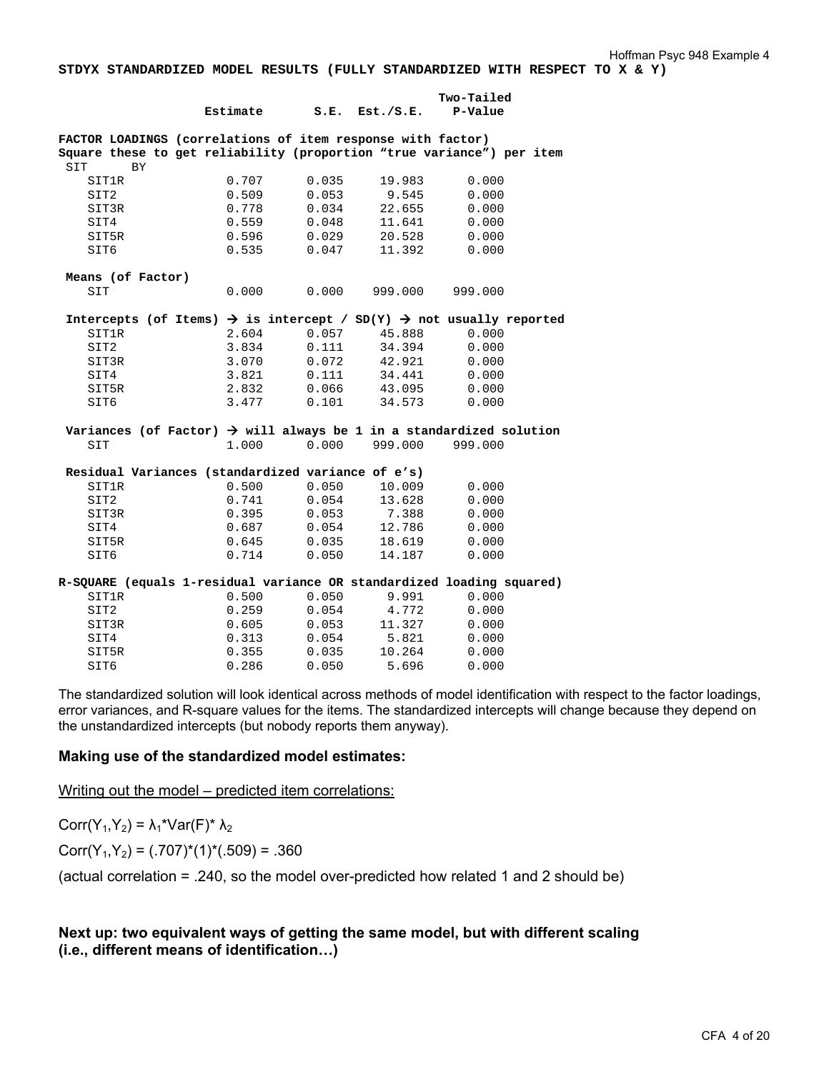**STDYX STANDARDIZED MODEL RESULTS (FULLY STANDARDIZED WITH RESPECT TO X & Y)** 

|                                                                       |                                                                                             |       |                     | Two-Tailed |  |
|-----------------------------------------------------------------------|---------------------------------------------------------------------------------------------|-------|---------------------|------------|--|
|                                                                       | Estimate                                                                                    |       | $S.E.$ Est./ $S.E.$ | P-Value    |  |
| FACTOR LOADINGS (correlations of item response with factor)           |                                                                                             |       |                     |            |  |
| Square these to get reliability (proportion "true variance") per item |                                                                                             |       |                     |            |  |
| SIT<br><b>BY</b>                                                      |                                                                                             |       |                     |            |  |
| <b>SIT1R</b>                                                          | 0.707                                                                                       | 0.035 | 19.983              | 0.000      |  |
| SIT2                                                                  | 0.509                                                                                       | 0.053 | 9.545               | 0.000      |  |
| SIT3R                                                                 | 0.778                                                                                       | 0.034 | 22.655              | 0.000      |  |
| SIT4                                                                  | 0.559                                                                                       | 0.048 | 11.641              | 0.000      |  |
| SIT5R                                                                 | 0.596                                                                                       | 0.029 | 20.528              | 0.000      |  |
| SIT6                                                                  | 0.535                                                                                       | 0.047 | 11.392              | 0.000      |  |
| Means (of Factor)                                                     |                                                                                             |       |                     |            |  |
| SIT                                                                   | 0.000                                                                                       | 0.000 | 999.000             | 999.000    |  |
|                                                                       | Intercepts (of Items) $\rightarrow$ is intercept / SD(Y) $\rightarrow$ not usually reported |       |                     |            |  |
| SIT1R                                                                 | 2.604                                                                                       | 0.057 | 45.888              | 0.000      |  |
| SIT2                                                                  | 3.834                                                                                       | 0.111 | 34.394              | 0.000      |  |
| SIT3R                                                                 | 3.070                                                                                       | 0.072 | 42.921              | 0.000      |  |
| SIT4                                                                  | 3.821                                                                                       | 0.111 | 34.441              | 0.000      |  |
| SIT5R                                                                 | 2.832                                                                                       | 0.066 | 43.095              | 0.000      |  |
| SIT6                                                                  | 3.477                                                                                       | 0.101 | 34.573              | 0.000      |  |
|                                                                       | Variances (of Factor) $\rightarrow$ will always be 1 in a standardized solution             |       |                     |            |  |
| SIT                                                                   | 1.000                                                                                       |       | $0.000$ 999.000     | 999.000    |  |
|                                                                       | Residual Variances (standardized variance of e's)                                           |       |                     |            |  |
| SIT1R                                                                 | 0.500                                                                                       | 0.050 | 10.009              | 0.000      |  |
| SIT2                                                                  | 0.741                                                                                       | 0.054 | 13.628              | 0.000      |  |
| SIT3R                                                                 | 0.395                                                                                       | 0.053 | 7.388               | 0.000      |  |
| SIT4                                                                  | 0.687                                                                                       | 0.054 | 12.786              | 0.000      |  |
| SIT5R                                                                 | 0.645                                                                                       | 0.035 | 18.619              | 0.000      |  |
| SIT6                                                                  | 0.714                                                                                       | 0.050 | 14.187              | 0.000      |  |
| R-SQUARE (equals 1-residual variance OR standardized loading squared) |                                                                                             |       |                     |            |  |
| SIT1R                                                                 | 0.500                                                                                       | 0.050 | 9.991               | 0.000      |  |
| SIT2                                                                  | 0.259                                                                                       | 0.054 | 4.772               | 0.000      |  |
| SIT3R                                                                 | 0.605                                                                                       | 0.053 | 11.327              | 0.000      |  |
| SIT4                                                                  | 0.313                                                                                       | 0.054 | 5.821               | 0.000      |  |
| SIT5R                                                                 | 0.355                                                                                       | 0.035 | 10.264              | 0.000      |  |
| SIT6                                                                  | 0.286                                                                                       | 0.050 | 5.696               | 0.000      |  |

The standardized solution will look identical across methods of model identification with respect to the factor loadings, error variances, and R-square values for the items. The standardized intercepts will change because they depend on the unstandardized intercepts (but nobody reports them anyway).

### **Making use of the standardized model estimates:**

Writing out the model – predicted item correlations:

Corr(Y<sub>1</sub>,Y<sub>2</sub>) =  $\lambda_1$ <sup>\*</sup>Var(F)<sup>\*</sup>  $\lambda_2$ 

 $Corr(Y_1, Y_2) = (.707)^*(1)^*(.509) = .360$ 

(actual correlation = .240, so the model over-predicted how related 1 and 2 should be)

### **Next up: two equivalent ways of getting the same model, but with different scaling (i.e., different means of identification…)**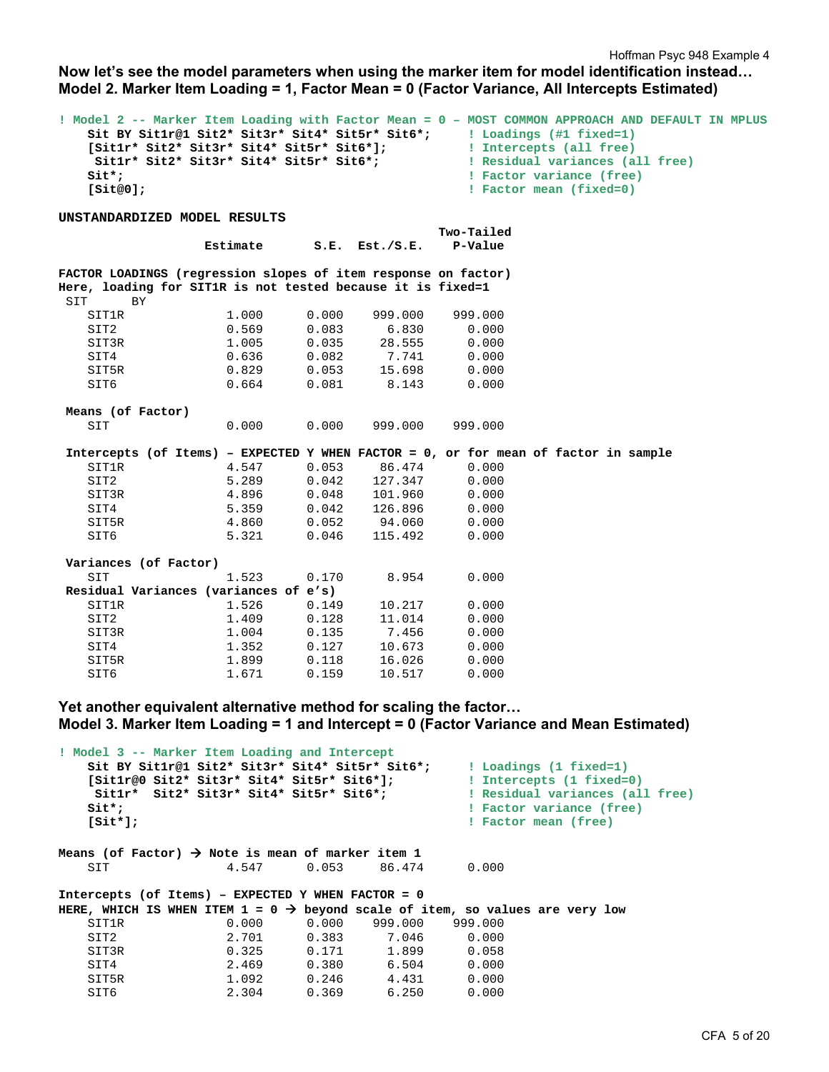Hoffman Psyc 948 Example 4

**Now let's see the model parameters when using the marker item for model identification instead… Model 2. Marker Item Loading = 1, Factor Mean = 0 (Factor Variance, All Intercepts Estimated)** 

| $\texttt{Sitt*}$ ;                                               | Sitlr* Sit2* Sit3r* Sit4* Sit5r* Sit6*; |       |                     | ! Model 2 -- Marker Item Loading with Factor Mean = 0 - MOST COMMON APPROACH AND DEFAULT IN MPLUS<br>Sit BY Sitlr@1 Sit2* Sit3r* Sit4* Sit5r* Sit6*;   Loadings (#1 fixed=1)<br>! Residual variances (all free)<br>! Factor variance (free) |
|------------------------------------------------------------------|-----------------------------------------|-------|---------------------|---------------------------------------------------------------------------------------------------------------------------------------------------------------------------------------------------------------------------------------------|
| [Site0];                                                         |                                         |       |                     | ! Factor mean (fixed=0)                                                                                                                                                                                                                     |
|                                                                  |                                         |       |                     |                                                                                                                                                                                                                                             |
| UNSTANDARDIZED MODEL RESULTS                                     |                                         |       |                     |                                                                                                                                                                                                                                             |
|                                                                  |                                         |       |                     | Two-Tailed                                                                                                                                                                                                                                  |
|                                                                  | Estimate                                |       | $S.E.$ Est./ $S.E.$ | P-Value                                                                                                                                                                                                                                     |
| FACTOR LOADINGS (regression slopes of item response on factor)   |                                         |       |                     |                                                                                                                                                                                                                                             |
| Here, loading for SIT1R is not tested because it is fixed=1      |                                         |       |                     |                                                                                                                                                                                                                                             |
| SIT<br><b>BY</b>                                                 |                                         |       |                     |                                                                                                                                                                                                                                             |
| <b>SIT1R</b>                                                     | 1.000                                   | 0.000 | 999.000             | 999.000                                                                                                                                                                                                                                     |
| SIT2                                                             | 0.569                                   | 0.083 | 6.830               | 0.000                                                                                                                                                                                                                                       |
| SIT3R                                                            | 1.005                                   | 0.035 | 28.555              | 0.000                                                                                                                                                                                                                                       |
| SIT4                                                             | 0.636                                   | 0.082 | 7.741               | 0.000                                                                                                                                                                                                                                       |
| SIT5R                                                            | 0.829                                   | 0.053 | 15.698              | 0.000                                                                                                                                                                                                                                       |
| SIT6                                                             | 0.664                                   | 0.081 | 8.143               | 0.000                                                                                                                                                                                                                                       |
|                                                                  |                                         |       |                     |                                                                                                                                                                                                                                             |
| Means (of Factor)                                                |                                         |       |                     |                                                                                                                                                                                                                                             |
| SIT                                                              | 0.000                                   | 0.000 | 999.000             | 999.000                                                                                                                                                                                                                                     |
|                                                                  |                                         |       |                     |                                                                                                                                                                                                                                             |
|                                                                  |                                         |       |                     | Intercepts (of Items) - EXPECTED Y WHEN FACTOR = 0, or for mean of factor in sample                                                                                                                                                         |
| SIT1R                                                            | 4.547                                   | 0.053 | 86.474              | 0.000                                                                                                                                                                                                                                       |
| SIT2                                                             | 5.289                                   | 0.042 | 127.347             | 0.000                                                                                                                                                                                                                                       |
| SIT3R                                                            | 4.896                                   |       | $0.048$ 101.960     | 0.000                                                                                                                                                                                                                                       |
| SIT4                                                             | 5.359                                   |       | $0.042$ 126.896     | 0.000                                                                                                                                                                                                                                       |
| SIT5R                                                            | 4.860                                   | 0.052 | 94.060              | 0.000                                                                                                                                                                                                                                       |
| SIT6                                                             | 5.321                                   | 0.046 | 115.492             | 0.000                                                                                                                                                                                                                                       |
|                                                                  |                                         |       |                     |                                                                                                                                                                                                                                             |
| Variances (of Factor)                                            |                                         |       |                     |                                                                                                                                                                                                                                             |
| SIT                                                              | 1.523                                   | 0.170 | 8.954               | 0.000                                                                                                                                                                                                                                       |
| Residual Variances (variances of e's)                            |                                         |       |                     |                                                                                                                                                                                                                                             |
| SIT1R                                                            | 1.526                                   | 0.149 | 10.217              | 0.000                                                                                                                                                                                                                                       |
| SIT2                                                             | 1.409                                   | 0.128 | 11.014              | 0.000                                                                                                                                                                                                                                       |
| SIT3R                                                            | 1.004                                   | 0.135 | 7.456               | 0.000                                                                                                                                                                                                                                       |
| SIT4                                                             | 1.352                                   | 0.127 | 10.673              | 0.000                                                                                                                                                                                                                                       |
| SIT5R                                                            | 1.899                                   | 0.118 | 16.026              | 0.000                                                                                                                                                                                                                                       |
| SIT6                                                             | 1.671                                   | 0.159 | 10.517              | 0.000                                                                                                                                                                                                                                       |
|                                                                  |                                         |       |                     |                                                                                                                                                                                                                                             |
| Yet another equivalent alternative method for scaling the factor |                                         |       |                     |                                                                                                                                                                                                                                             |
|                                                                  |                                         |       |                     | Model 3. Marker Item Loading = 1 and Intercept = 0 (Factor Variance and Mean Estimated)                                                                                                                                                     |
|                                                                  |                                         |       |                     |                                                                                                                                                                                                                                             |
| ! Model 3 -- Marker Item Loading and Intercept                   |                                         |       |                     |                                                                                                                                                                                                                                             |
| Sit BY Sit1r@1 Sit2* Sit3r* Sit4* Sit5r* Sit6*;                  |                                         |       |                     | ! Loadings (1 fixed=1)                                                                                                                                                                                                                      |
| [Sitlr@0 Sit2* Sit3r* Sit4* Sit5r* Sit6*];                       |                                         |       |                     | ! Intercepts (1 fixed=0)                                                                                                                                                                                                                    |

Sit1r\* Sit2\* Sit3r\* Sit4\* Sit5r\* Sit6\*; <br>Sit\*;<br>Bit\*;<br>Bactor variance (free) **! Factor variance (free) [Sit\*]; ! Factor mean (free)**  Means (of Factor)  $\rightarrow$  Note is mean of marker item 1 SIT 4.547 0.053 86.474 0.000 **Intercepts (of Items) – EXPECTED Y WHEN FACTOR = 0**  HERE, WHICH IS WHEN ITEM  $1 = 0 \rightarrow$  beyond scale of item, so values are very low SIT1R 0.000 0.000 999.000 999.000<br>SIT2 2.701 0.383 7.046 0.000 SIT2 2.701 0.383 7.046 0.000 SIT3R 0.325 0.171 1.899 0.058 SIT4 2.469 0.380 6.504 0.000 SIT5R 1.092 0.246 4.431 0.000 SIT6 2.304 0.369 6.250 0.000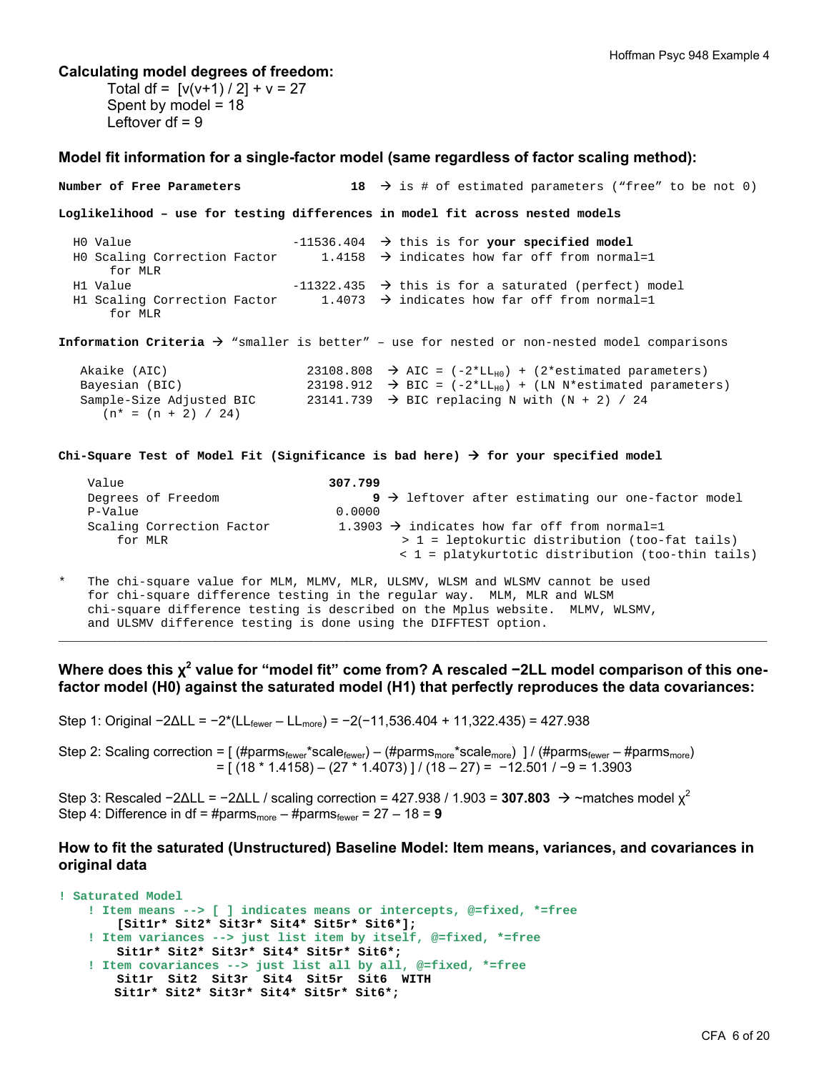#### **Calculating model degrees of freedom:**

 $(n* = (n + 2) / 24)$ 

Total df =  $[v(v+1)/2] + v = 27$ Spent by model = 18 Leftover  $df = 9$ 

#### **Model fit information for a single-factor model (same regardless of factor scaling method):**

**Number of Free Parameters** 18  $\rightarrow$  is # of estimated parameters ("free" to be not 0) **Loglikelihood – use for testing differences in model fit across nested models**  H0 Value -11536.404 this is for **your specified model** H0 Scaling Correction Factor 1.4158  $\rightarrow$  indicates how far off from normal=1 for MLR H1 Value  $-11322.435$   $\rightarrow$  this is for a saturated (perfect) model H1 Scaling Correction Factor  $1.4073 \rightarrow$  indicates how far off from normal=1 for MLR **Information Criteria**  $\rightarrow$  "smaller is better" - use for nested or non-nested model comparisons Akaike (AIC) 23108.808  $\rightarrow$  AIC = (-2\*LL<sub>H0</sub>) + (2\*estimated parameters)<br>Bayesian (BIC) 23198.912  $\rightarrow$  BIC = (-2\*LL<sub>H0</sub>) + (LN N\*estimated parameters) Bayesian (BIC) 23198.912  $\rightarrow$  BIC = (-2\*LL<sub>H0</sub>) + (LN N\*estimated parameters)<br>Sample-Size Adjusted BIC 23141.739  $\rightarrow$  BIC replacing N with (N + 2) / 24 23141.739  $\rightarrow$  BIC replacing N with (N + 2) / 24

**Chi-Square Test of Model Fit (Significance is bad here) for your specified model** 

| Value                     | 307.799                                                                  |
|---------------------------|--------------------------------------------------------------------------|
| Degrees of Freedom        | $9 \rightarrow$ leftover after estimating our one-factor model           |
| P-Value                   | 0.0000                                                                   |
| Scaling Correction Factor | 1.3903 $\rightarrow$ indicates how far off from normal=1                 |
| for MLR                   | > 1 = leptokurtic distribution (too-fat tails)                           |
|                           | $\langle 1 = \text{platykurtotic distribution (too-thin tails)} \rangle$ |

The chi-square value for MLM, MLMV, MLR, ULSMV, WLSM and WLSMV cannot be used for chi-square difference testing in the regular way. MLM, MLR and WLSM chi-square difference testing is described on the Mplus website. MLMV, WLSMV, and ULSMV difference testing is done using the DIFFTEST option.

**Where does this**  $\chi^2$  **value for "model fit" come from? A rescaled −2LL model comparison of this onefactor model (H0) against the saturated model (H1) that perfectly reproduces the data covariances:** 

 $\Box$  . The contribution of the contribution of the contribution of the contribution of the contribution of the contribution of the contribution of the contribution of the contribution of the contribution of the contributi

Step 1: Original −2ΔLL = −2\*(LLfewer – LLmore) = −2(−11,536.404 + 11,322.435) = 427.938

Step 2: Scaling correction =  $[$  (#parms<sub>fewer</sub>\*scale<sub>fewer</sub>) – (#parms<sub>more</sub>\*scale<sub>more</sub>) ] / (#parms<sub>fewer</sub> – #parms<sub>more</sub>) = [ (18 \* 1.4158) – (27 \* 1.4073) ] / (18 – 27) = −12.501 / −9 = 1.3903

Step 3: Rescaled  $-2\Delta L L = -2\Delta L L$  / scaling correction = 427.938 / 1.903 = **307.803**  $\rightarrow \sim$  matches model  $\chi^2$ Step 4: Difference in df = #parms<sub>more</sub> – #parms<sub>fewer</sub> =  $27 - 18 = 9$ 

### **How to fit the saturated (Unstructured) Baseline Model: Item means, variances, and covariances in original data**

```
! Saturated Model 
     ! Item means --> [ ] indicates means or intercepts, @=fixed, *=free 
         [Sit1r* Sit2* Sit3r* Sit4* Sit5r* Sit6*]; 
     ! Item variances --> just list item by itself, @=fixed, *=free 
        Sit1r* Sit2* Sit3r* Sit4* Sit5r* Sit6*; 
     ! Item covariances --> just list all by all, @=fixed, *=free 
        Sit1r Sit2 Sit3r Sit4 Sit5r Sit6 WITH 
        Sit1r* Sit2* Sit3r* Sit4* Sit5r* Sit6*;
```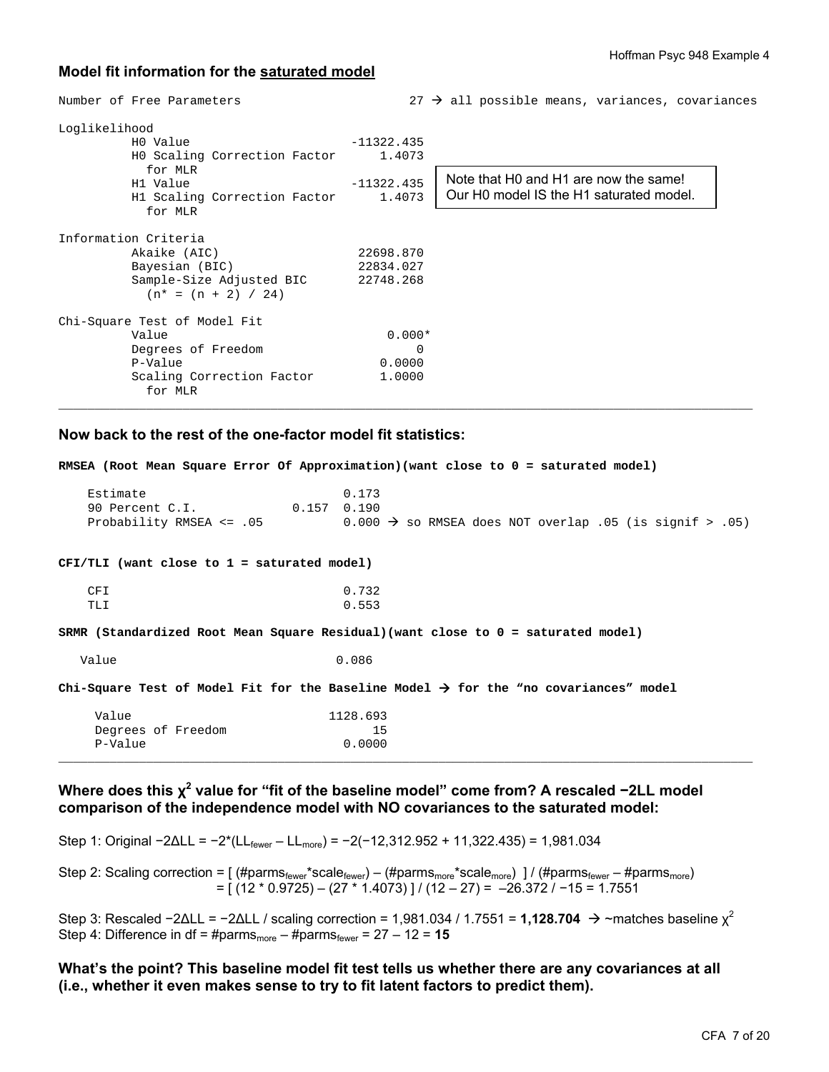### **Model fit information for the saturated model**

| Loglikelihood | HO Value<br>HO Scaling Correction Factor<br>for MLR<br>H1 Value<br>H1 Scaling Correction Factor<br>for MLR | $-11322.435$<br>1.4073<br>$-11322.435$<br>1.4073 | Note that H0 and H1 are now the same!<br>Our H0 model IS the H1 saturated model. |
|---------------|------------------------------------------------------------------------------------------------------------|--------------------------------------------------|----------------------------------------------------------------------------------|
|               | Information Criteria<br>Akaike (AIC)                                                                       | 22698.870                                        |                                                                                  |
|               | Bayesian (BIC)<br>Sample-Size Adjusted BIC<br>$(n* = (n + 2) / 24)$                                        | 22834.027<br>22748.268                           |                                                                                  |
|               | Chi-Square Test of Model Fit                                                                               |                                                  |                                                                                  |
|               | Value                                                                                                      | $0.000*$                                         |                                                                                  |
|               | Degrees of Freedom                                                                                         | $\Omega$                                         |                                                                                  |
|               | P-Value                                                                                                    | 0.0000                                           |                                                                                  |
|               | Scaling Correction Factor<br>for MLR                                                                       | 1,0000                                           |                                                                                  |

Number of Free Parameters 27  $\rightarrow$  all possible means, variances, covariances

### **Now back to the rest of the one-factor model fit statistics:**

**RMSEA (Root Mean Square Error Of Approximation)(want close to 0 = saturated model)**  Estimate 0.173<br>
90 Percent C.I. 0.157 0.190 90 Percent C.I. Probability RMSEA <= .05 0.000  $\rightarrow$  so RMSEA does NOT overlap .05 (is signif > .05) **CFI/TLI (want close to 1 = saturated model)**  CFI 0.732 TLI 0.553 **SRMR (Standardized Root Mean Square Residual)(want close to 0 = saturated model)**  Value 0.086 **Chi-Square Test of Model Fit for the Baseline Model for the "no covariances" model**  Value 1128.693 Degrees of Freedom 15<br>P-Value 0.0000 P-Value  $\overline{\phantom{a}}$  , and the set of the set of the set of the set of the set of the set of the set of the set of the set of the set of the set of the set of the set of the set of the set of the set of the set of the set of the s

### **Where does this χ<sup>2</sup> value for "fit of the baseline model" come from? A rescaled −2LL model comparison of the independence model with NO covariances to the saturated model:**

Step 1: Original -2ΔLL = -2\*(LL<sub>fewer</sub> - LL<sub>more</sub>) = -2(-12,312.952 + 11,322.435) = 1,981.034

Step 2: Scaling correction =  $[$  (#parms<sub>fewer</sub>\*scale<sub>fewer</sub>) – (#parms<sub>more</sub>\*scale<sub>more</sub>) ] / (#parms<sub>fewer</sub> – #parms<sub>more</sub>) = [ (12 \* 0.9725) – (27 \* 1.4073) ] / (12 – 27) = –26.372 / −15 = 1.7551

Step 3: Rescaled  $-2\Delta L L = -2\Delta L L$  / scaling correction = 1,981.034 / 1.7551 = **1,128.704**  $\rightarrow \sim$ matches baseline  $\chi^2$ Step 4: Difference in df = #parms<sub>more</sub> – #parms<sub>fewer</sub> =  $27 - 12 = 15$ 

**What's the point? This baseline model fit test tells us whether there are any covariances at all (i.e., whether it even makes sense to try to fit latent factors to predict them).**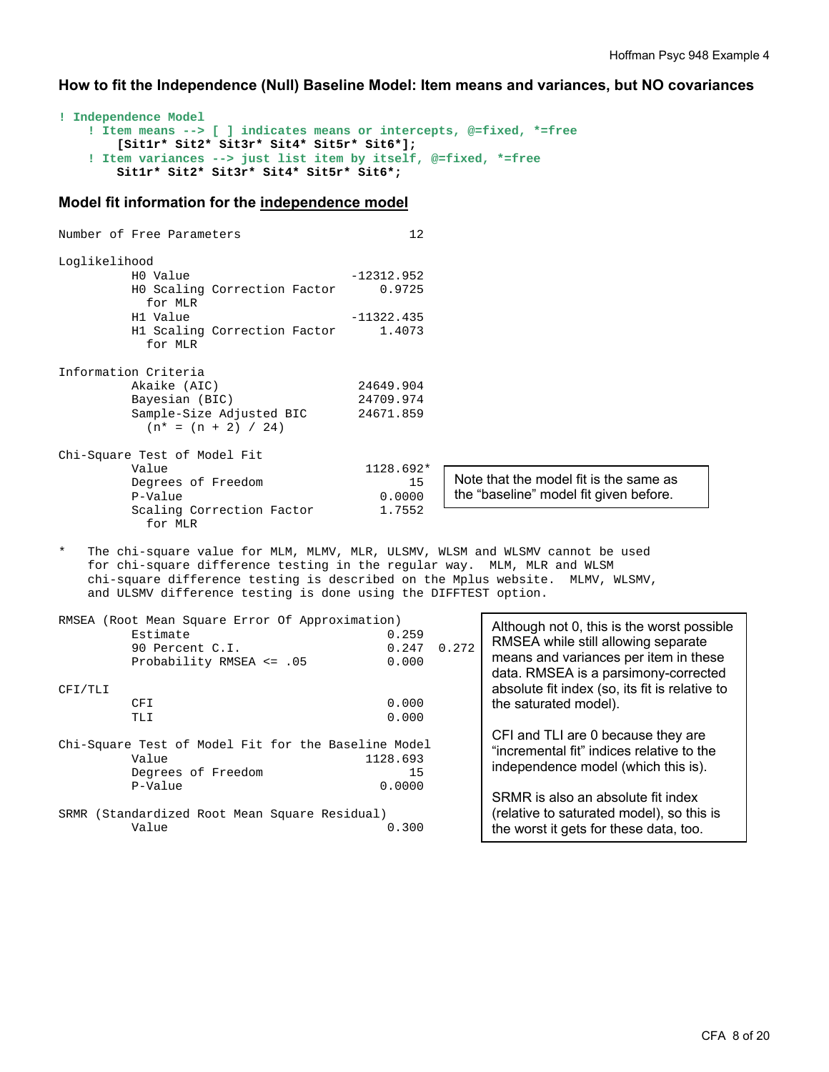**How to fit the Independence (Null) Baseline Model: Item means and variances, but NO covariances** 

```
! Independence Model 
     ! Item means --> [ ] indicates means or intercepts, @=fixed, *=free 
         [Sit1r* Sit2* Sit3r* Sit4* Sit5r* Sit6*]; 
     ! Item variances --> just list item by itself, @=fixed, *=free 
         Sit1r* Sit2* Sit3r* Sit4* Sit5r* Sit6*;
```
#### **Model fit information for the independence model**

Number of Free Parameters 12 Loglikelihood  $-12312.952$  H0 Scaling Correction Factor 0.9725 for MLR H1 Value -11322.435 H1 Scaling Correction Factor 1.4073 for MLR Information Criteria Akaike (AIC) 24649.904<br>Bayesian (BIC) 24709.974 Bayesian (BIC) Sample-Size Adjusted BIC 24671.859  $(n* = (n + 2) / 24)$ Chi-Square Test of Model Fit Value 1128.692\*<br>Degrees of Freedom 15 Degrees of Freedom P-Value 0.0000 Scaling Correction Factor 1.7552 for MLR The chi-square value for MLM, MLMV, MLR, ULSMV, WLSM and WLSMV cannot be used for chi-square difference testing in the regular way. MLM, MLR and WLSM chi-square difference testing is described on the Mplus website. MLMV, WLSMV, and ULSMV difference testing is done using the DIFFTEST option. RMSEA (Root Mean Square Error Of Approximation) Note that the model fit is the same as the "baseline" model fit given before.  $\overline{\phantom{a}}$  Although not 0, this is the worst possible

|         |                                                     |          |       | Although not U, this is the worst possible                                      |
|---------|-----------------------------------------------------|----------|-------|---------------------------------------------------------------------------------|
|         | Estimate                                            | 0.259    |       | RMSEA while still allowing separate                                             |
|         | 90 Percent C.I.                                     | 0.247    | 0.272 |                                                                                 |
|         | Probability RMSEA $\leq$ .05                        | 0.000    |       | means and variances per item in these<br>data. RMSEA is a parsimony-corrected   |
| CFI/TLI |                                                     |          |       | absolute fit index (so, its fit is relative to                                  |
|         | <b>CFI</b>                                          | 0.000    |       | the saturated model).                                                           |
|         | TLI                                                 | 0.000    |       |                                                                                 |
|         | Chi-Square Test of Model Fit for the Baseline Model |          |       | CFI and TLI are 0 because they are<br>"incremental fit" indices relative to the |
|         | Value                                               | 1128.693 |       |                                                                                 |
|         | Degrees of Freedom                                  | 15       |       | independence model (which this is).                                             |
|         | P-Value                                             | 0.0000   |       |                                                                                 |
|         |                                                     |          |       | SRMR is also an absolute fit index                                              |
| SRMR    | (Standardized Root Mean Square Residual)            |          |       | (relative to saturated model), so this is                                       |
|         | Value                                               | 0.300    |       | the worst it gets for these data, too.                                          |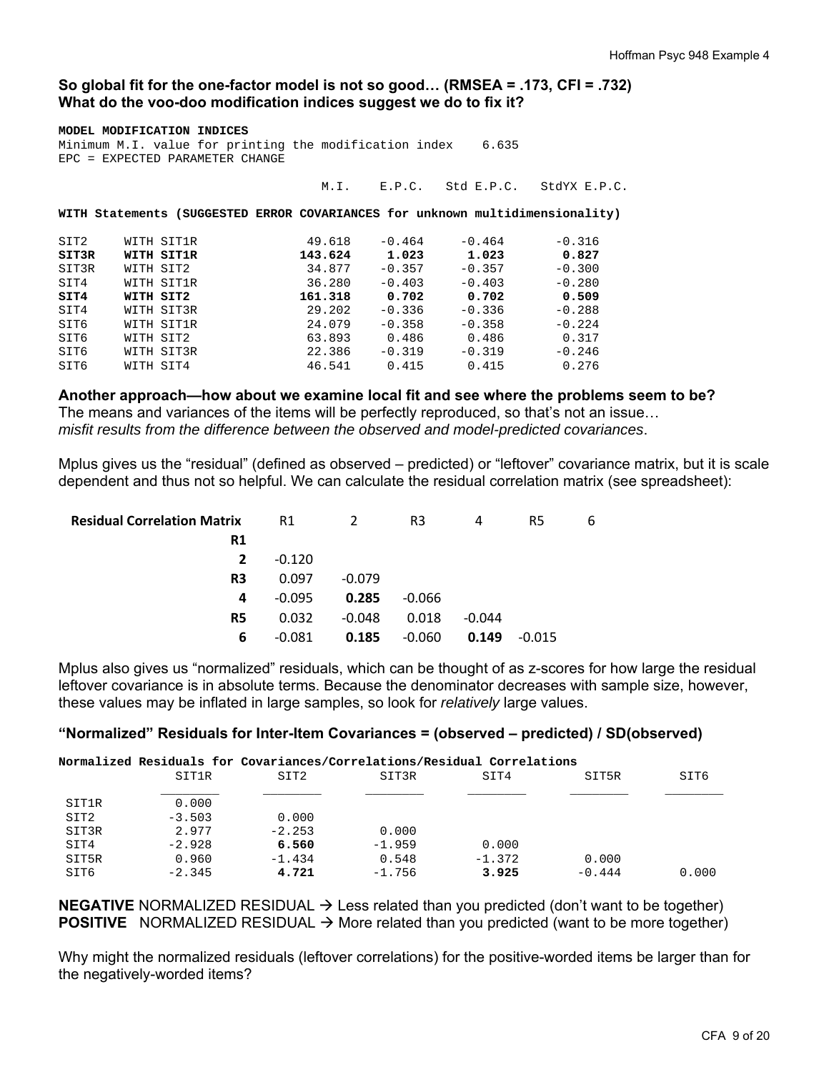### **So global fit for the one-factor model is not so good… (RMSEA = .173, CFI = .732) What do the voo-doo modification indices suggest we do to fix it?**

|                                                              | MODEL MODIFICATION INDICES |                                                                               |         |          |                                |          |  |  |  |
|--------------------------------------------------------------|----------------------------|-------------------------------------------------------------------------------|---------|----------|--------------------------------|----------|--|--|--|
| Minimum M.I. value for printing the modification index 6.635 |                            |                                                                               |         |          |                                |          |  |  |  |
|                                                              |                            | EPC = EXPECTED PARAMETER CHANGE                                               |         |          |                                |          |  |  |  |
|                                                              |                            |                                                                               |         |          |                                |          |  |  |  |
|                                                              |                            |                                                                               | M.I.    |          | E.P.C. Std E.P.C. StdYX E.P.C. |          |  |  |  |
|                                                              |                            |                                                                               |         |          |                                |          |  |  |  |
|                                                              |                            | WITH Statements (SUGGESTED ERROR COVARIANCES for unknown multidimensionality) |         |          |                                |          |  |  |  |
|                                                              |                            |                                                                               |         |          |                                |          |  |  |  |
|                                                              |                            |                                                                               |         |          |                                |          |  |  |  |
| SIT2                                                         |                            | WITH SIT1R                                                                    | 49.618  | $-0.464$ | $-0.464$                       | $-0.316$ |  |  |  |
| SIT3R                                                        |                            | WITH SIT1R                                                                    | 143.624 | 1.023    | 1.023                          | 0.827    |  |  |  |
| SIT3R                                                        |                            | WITH SIT2                                                                     | 34.877  | $-0.357$ | $-0.357$                       | $-0.300$ |  |  |  |
| SIT4                                                         |                            | WITH SIT1R                                                                    | 36.280  | $-0.403$ | $-0.403$                       | $-0.280$ |  |  |  |
| SIT4                                                         |                            | WITH SIT2                                                                     | 161.318 | 0.702    | 0.702                          | 0.509    |  |  |  |
| SIT4                                                         |                            | WITH SIT3R                                                                    | 29.202  | $-0.336$ | $-0.336$                       | $-0.288$ |  |  |  |
| SIT6                                                         |                            | WITH SIT1R                                                                    | 24.079  | $-0.358$ | $-0.358$                       | $-0.224$ |  |  |  |
| SIT6                                                         |                            | WITH SIT2                                                                     | 63.893  | 0.486    | 0.486                          | 0.317    |  |  |  |
| SIT6                                                         |                            | WITH SIT3R                                                                    | 22.386  | $-0.319$ | $-0.319$                       | $-0.246$ |  |  |  |
| SIT6                                                         |                            | WITH SIT4                                                                     | 46.541  | 0.415    | 0.415                          | 0.276    |  |  |  |
|                                                              |                            |                                                                               |         |          |                                |          |  |  |  |

**Another approach—how about we examine local fit and see where the problems seem to be?**  The means and variances of the items will be perfectly reproduced, so that's not an issue… *misfit results from the difference between the observed and model-predicted covariances*.

Mplus gives us the "residual" (defined as observed – predicted) or "leftover" covariance matrix, but it is scale dependent and thus not so helpful. We can calculate the residual correlation matrix (see spreadsheet):

| <b>Residual Correlation Matrix</b> | R1       | 2        | R3       | 4        | R5       | 6 |
|------------------------------------|----------|----------|----------|----------|----------|---|
| R1                                 |          |          |          |          |          |   |
| $\mathbf{2}$                       | $-0.120$ |          |          |          |          |   |
| R3                                 | 0.097    | $-0.079$ |          |          |          |   |
| 4                                  | $-0.095$ | 0.285    | $-0.066$ |          |          |   |
| R5                                 | 0.032    | $-0.048$ | 0.018    | $-0.044$ |          |   |
| 6                                  | -0.081   | 0.185    | $-0.060$ | 0.149    | $-0.015$ |   |

Mplus also gives us "normalized" residuals, which can be thought of as z-scores for how large the residual leftover covariance is in absolute terms. Because the denominator decreases with sample size, however, these values may be inflated in large samples, so look for *relatively* large values.

### **"Normalized" Residuals for Inter-Item Covariances = (observed – predicted) / SD(observed)**

|       |          | Normalized Residuals for Covariances/Correlations/Residual Correlations |          |          |          |       |
|-------|----------|-------------------------------------------------------------------------|----------|----------|----------|-------|
|       | SIT1R    | SIT2                                                                    | SIT3R    | SIT4     | SIT5R    | SIT6  |
| SIT1R | 0.000    |                                                                         |          |          |          |       |
| SIT2  | $-3.503$ | 0.000                                                                   |          |          |          |       |
| SIT3R | 2.977    | $-2.253$                                                                | 0.000    |          |          |       |
| SIT4  | $-2.928$ | 6.560                                                                   | $-1.959$ | 0.000    |          |       |
| SIT5R | 0.960    | $-1.434$                                                                | 0.548    | $-1.372$ | 0.000    |       |
| SIT6  | $-2.345$ | 4.721                                                                   | $-1.756$ | 3.925    | $-0.444$ | 0.000 |

**NEGATIVE** NORMALIZED RESIDUAL  $\rightarrow$  Less related than you predicted (don't want to be together) **POSITIVE** NORMALIZED RESIDUAL  $\rightarrow$  More related than you predicted (want to be more together)

Why might the normalized residuals (leftover correlations) for the positive-worded items be larger than for the negatively-worded items?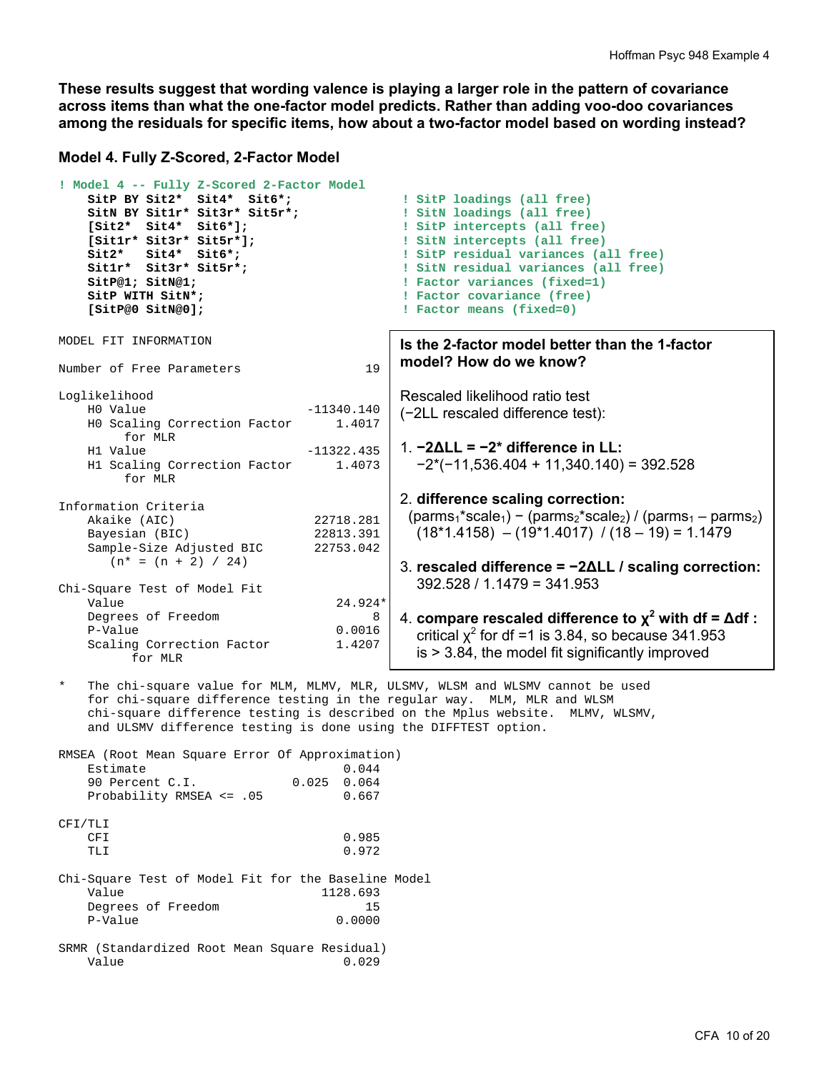**These results suggest that wording valence is playing a larger role in the pattern of covariance across items than what the one-factor model predicts. Rather than adding voo-doo covariances among the residuals for specific items, how about a two-factor model based on wording instead?** 

#### **Model 4. Fully Z-Scored, 2-Factor Model**

```
! Model 4 -- Fully Z-Scored 2-Factor Model 
     SitP BY Sit2* Sit4* Sit6*; ! SitP loadings (all free) 
    SitN BY Sit1r* Sit3r* Sit5r*; <br>
Sit2* Sit4* Sit6*]; <br>
SitP intercepts (all free)
     [Sit2* Sit4* Sit6*]; ! SitP intercepts (all free) 
     [Sit1r* Sit3r* Sit5r*]; \begin{array}{ccc} 1 & 1 & 1 \\ 2 & 2 & 2 \end{array} [Sit2* Sit4* Sit6*; \begin{array}{ccc} 1 & 2 & 1 \\ 3 & 1 & 2 \end{array} [Sit2* Sit4* Sit6*; \begin{array}{ccc} 2 & 1 & 1 \\ 3 & 1 & 2 \end{array} Sit2* Sit4* Sit6*; ! SitP residual variances (all free)
    Sit1r* Sit3r* Sit5r*; \qquad \qquad ! SitN residual variances (all free)<br>SitP@1; SitN@1; \qquad \qquad ! Factor variances (fixed=1)
                                                  ! Factor variances (fixed=1)
     SitP WITH SitN*; ! Factor covariance (free)
     [SitP@0 SitN@0]; ! Factor means (fixed=0) 
MODEL FIT INFORMATION 
Number of Free Parameters 19
Loglikelihood 
    H0 Value -11340.140
     H0 Scaling Correction Factor 1.4017 
          for MLR 
    H1 Value -11322.435
     H1 Scaling Correction Factor 1.4073 
          for MLR 
Information Criteria 
    Akaike (AIC) 22718.281<br>Bayesian (BIC) 22813.391
    Bayesian (BIC)
     Sample-Size Adjusted BIC 22753.042 
       (n^* = (n + 2) / 24)Chi-Square Test of Model Fit 
     Value 24.924* 
    Degrees of Freedom 8
    P-Value 0.0016<br>Scaling Correction Factor 1.4207
    Scaling Correction Factor
           for MLR 
    The chi-square value for MLM, MLMV, MLR, ULSMV, WLSM and WLSMV cannot be used
     for chi-square difference testing in the regular way. MLM, MLR and WLSM 
     chi-square difference testing is described on the Mplus website. MLMV, WLSMV, 
     and ULSMV difference testing is done using the DIFFTEST option. 
RMSEA (Root Mean Square Error Of Approximation) 
    Estimate 0.044<br>90 Percent C.I. 0.025 0.064
    90 Percent C.I.
    Probability RMSEA <= .05 0.667
                                                  Is the 2-factor model better than the 1-factor 
                                                  model? How do we know? 
                                                   Rescaled likelihood ratio test 
                                                   (−2LL rescaled difference test): 
                                                   1. −2ΔLL = −2* difference in LL: 
                                                      −2*(−11,536.404 + 11,340.140) = 392.528 
                                                   2. difference scaling correction:
                                                    (parms<sub>1</sub><sup>*</sup>scale<sub>1</sub>) - (parms<sub>2</sub><sup>*</sup>scale<sub>2</sub>) / (parms<sub>1</sub> - parms<sub>2</sub>)(18*1.4158) - (19*1.4017) / (18 - 19) = 1.14793. rescaled difference = −2ΔLL / scaling correction:
                                                      392.528 / 1.1479 = 341.953 
                                                   4. compare rescaled difference to χ2
 with df = Δdf :
                                                   critical \chi^2 for df =1 is 3.84, so because 341.953
                                                      is > 3.84, the model fit significantly improved
```

| CFI/TLI    |  |  |                                                     |
|------------|--|--|-----------------------------------------------------|
| <b>CFT</b> |  |  | 0.985                                               |
| TT.T       |  |  | 0.972                                               |
|            |  |  | Chi-Square Test of Model Fit for the Baseline Model |
| Value      |  |  | 1128.693                                            |

 Degrees of Freedom 15 P-Value 0.0000 SRMR (Standardized Root Mean Square Residual)

Value 0.029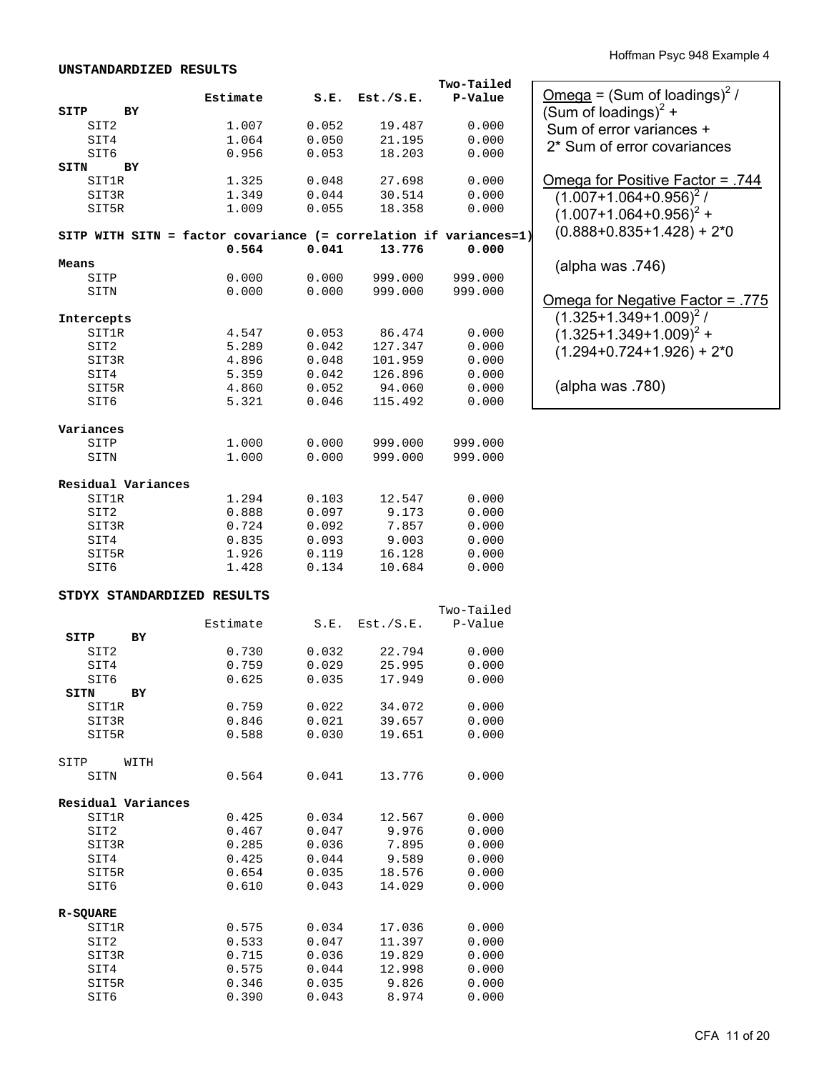|                                                                   |          |       |           | Two-Tailed |                                                 |
|-------------------------------------------------------------------|----------|-------|-----------|------------|-------------------------------------------------|
|                                                                   | Estimate | S.E.  | Est./S.E. | P-Value    | <u>Omega</u> = (Sum of loadings) <sup>2</sup> / |
| SITP<br>ВY                                                        |          |       |           |            | (Sum of loadings) <sup>2</sup> +                |
| SIT2                                                              | 1.007    | 0.052 | 19.487    | 0.000      |                                                 |
| SIT4                                                              | 1.064    | 0.050 | 21.195    | 0.000      | Sum of error variances +                        |
| SIT6                                                              | 0.956    | 0.053 | 18.203    | 0.000      | 2* Sum of error covariances                     |
|                                                                   |          |       |           |            |                                                 |
| SITN<br>BY                                                        |          |       |           |            |                                                 |
| SIT1R                                                             | 1.325    | 0.048 | 27.698    | 0.000      | <u> Omega for Positive Factor = .744</u>        |
| SIT3R                                                             | 1.349    | 0.044 | 30.514    | 0.000      | $(1.007+1.064+0.956)^2/$                        |
| SIT5R                                                             | 1.009    | 0.055 | 18.358    | 0.000      | $(1.007+1.064+0.956)^{2}$ +                     |
|                                                                   |          |       |           |            | $(0.888 + 0.835 + 1.428) + 2*0$                 |
| SITP WITH SITN = factor covariance (= correlation if variances=1) |          |       |           |            |                                                 |
|                                                                   | 0.564    | 0.041 | 13.776    | 0.000      |                                                 |
| Means                                                             |          |       |           |            | (alpha was $.746$ )                             |
| SITP                                                              | 0.000    | 0.000 | 999.000   | 999.000    |                                                 |
| SITN                                                              | 0.000    | 0.000 | 999.000   | 999.000    |                                                 |
|                                                                   |          |       |           |            | <u> Omega for Negative Factor = .775</u>        |
| Intercepts                                                        |          |       |           |            | $(1.325+1.349+1.009)^{2}$ /                     |
| SIT1R                                                             | 4.547    | 0.053 | 86.474    | 0.000      | $(1.325+1.349+1.009)^{2}$ +                     |
| SIT2                                                              | 5.289    | 0.042 | 127.347   | 0.000      |                                                 |
| SIT3R                                                             | 4.896    | 0.048 | 101.959   | 0.000      | $(1.294+0.724+1.926) + 2*0$                     |
| SIT4                                                              | 5.359    | 0.042 | 126.896   | 0.000      |                                                 |
| SIT5R                                                             | 4.860    | 0.052 | 94.060    | 0.000      | (alpha was .780)                                |
| SIT6                                                              | 5.321    | 0.046 | 115.492   | 0.000      |                                                 |
|                                                                   |          |       |           |            |                                                 |
|                                                                   |          |       |           |            |                                                 |
| Variances                                                         |          |       |           |            |                                                 |
| SITP                                                              | 1.000    | 0.000 | 999.000   | 999.000    |                                                 |
| SITN                                                              | 1.000    | 0.000 | 999.000   | 999.000    |                                                 |
|                                                                   |          |       |           |            |                                                 |
| Residual Variances                                                |          |       |           |            |                                                 |
| SIT1R                                                             | 1.294    | 0.103 | 12.547    | 0.000      |                                                 |
| SIT2                                                              | 0.888    | 0.097 | 9.173     | 0.000      |                                                 |
| SIT3R                                                             | 0.724    | 0.092 | 7.857     | 0.000      |                                                 |
| SIT4                                                              | 0.835    | 0.093 | 9.003     | 0.000      |                                                 |
| SIT5R                                                             | 1.926    | 0.119 | 16.128    | 0.000      |                                                 |
| SIT6                                                              | 1.428    | 0.134 | 10.684    | 0.000      |                                                 |
|                                                                   |          |       |           |            |                                                 |
| STDYX STANDARDIZED RESULTS                                        |          |       |           |            |                                                 |
|                                                                   |          |       |           | Two-Tailed |                                                 |
|                                                                   | Estimate | S.E.  | Est./S.E. | P-Value    |                                                 |
| SITP<br>BY                                                        |          |       |           |            |                                                 |
|                                                                   |          | 0.032 | 22.794    |            |                                                 |
| SIT2                                                              | 0.730    | 0.029 |           | 0.000      |                                                 |
| SIT4                                                              | 0.759    |       | 25.995    | 0.000      |                                                 |
| SIT6                                                              | 0.625    | 0.035 | 17.949    | 0.000      |                                                 |
| SITN<br>ВY                                                        |          |       |           |            |                                                 |
| <b>SIT1R</b>                                                      | 0.759    | 0.022 | 34.072    | 0.000      |                                                 |
| SIT3R                                                             | 0.846    | 0.021 | 39.657    | 0.000      |                                                 |
| SIT5R                                                             | 0.588    | 0.030 | 19.651    | 0.000      |                                                 |
|                                                                   |          |       |           |            |                                                 |
| SITP<br>WITH                                                      |          |       |           |            |                                                 |
| SITN                                                              | 0.564    | 0.041 | 13.776    | 0.000      |                                                 |
|                                                                   |          |       |           |            |                                                 |
| Residual Variances                                                |          |       |           |            |                                                 |
| <b>SIT1R</b>                                                      | 0.425    | 0.034 | 12.567    | 0.000      |                                                 |
| SIT2                                                              | 0.467    | 0.047 | 9.976     | 0.000      |                                                 |
| SIT3R                                                             | 0.285    | 0.036 | 7.895     | 0.000      |                                                 |
| SIT4                                                              | 0.425    | 0.044 | 9.589     | 0.000      |                                                 |
| SIT5R                                                             | 0.654    | 0.035 | 18.576    | 0.000      |                                                 |
| SIT6                                                              | 0.610    | 0.043 | 14.029    | 0.000      |                                                 |
|                                                                   |          |       |           |            |                                                 |
| <b>R-SQUARE</b>                                                   |          |       |           |            |                                                 |
| SIT1R                                                             |          | 0.034 |           | 0.000      |                                                 |
|                                                                   | 0.575    |       | 17.036    |            |                                                 |
| SIT2                                                              | 0.533    | 0.047 | 11.397    | 0.000      |                                                 |
| SIT3R                                                             | 0.715    | 0.036 | 19.829    | 0.000      |                                                 |
| SIT4                                                              | 0.575    | 0.044 | 12.998    | 0.000      |                                                 |
| SIT5R                                                             | 0.346    | 0.035 | 9.826     | 0.000      |                                                 |
| SIT6                                                              | 0.390    | 0.043 | 8.974     | 0.000      |                                                 |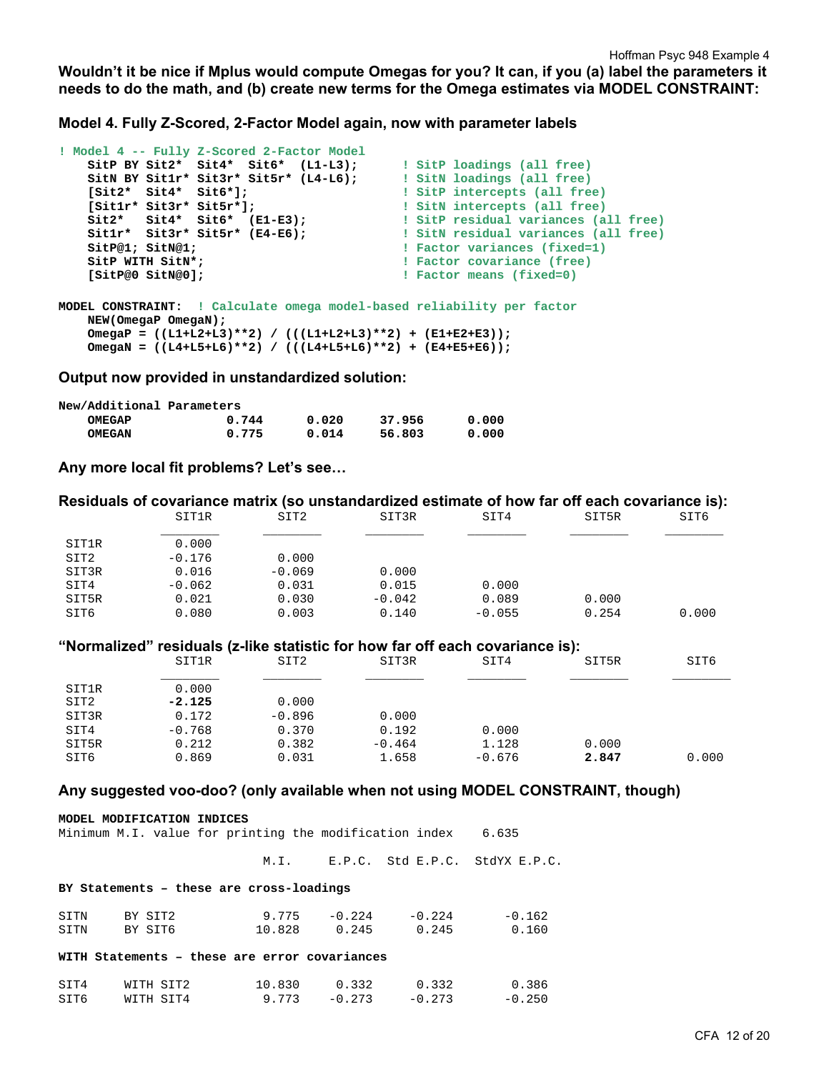**Wouldn't it be nice if Mplus would compute Omegas for you? It can, if you (a) label the parameters it needs to do the math, and (b) create new terms for the Omega estimates via MODEL CONSTRAINT:** 

**Model 4. Fully Z-Scored, 2-Factor Model again, now with parameter labels** 

```
! Model 4 -- Fully Z-Scored 2-Factor Model 
 SitP BY Sit2* Sit4* Sit6* (L1-L3); ! SitP loadings (all free) 
 SitN BY Sit1r* Sit3r* Sit5r* (L4-L6); ! SitN loadings (all free)
 [Sit2* Sit4* Sit6*]; ! SitP intercepts (all free) 
 [Sit1r* Sit3r* Sit5r*]; ! SitN intercepts (all free) 
 Sit2* Sit4* Sit6* (E1-E3); ! SitP residual variances (all free)
 Sit1r* Sit3r* Sit5r* (E4-E6); ! SitN residual variances (all free)
SitP@1; SitN@1; The state of the state of the state of the state of the state of the state of the state of the state of the state of the state of the state of the state of the state of the state of the state of the state
    SitP WITH SitN*; The subset of the set of the set of the set of the set of the set of the set of the set of the set of the set of the set of the set of the set of the set of the set of the set of the set of the set of th
     [SitP@0 SitN@0]; ! Factor means (fixed=0) 
MODEL CONSTRAINT: ! Calculate omega model-based reliability per factor
     NEW(OmegaP OmegaN); 
     OmegaP = ((L1+L2+L3)**2) / (((L1+L2+L3)**2) + (E1+E2+E3));
```
 **OmegaN = ((L4+L5+L6)\*\*2) / (((L4+L5+L6)\*\*2) + (E4+E5+E6));** 

**Output now provided in unstandardized solution:** 

| New/Additional Parameters |       |       |        |       |
|---------------------------|-------|-------|--------|-------|
| OMEGAP                    | 0.744 | 0.020 | 37.956 | 0.000 |
| <b>OMEGAN</b>             | 0.775 | 0.014 | 56.803 | 0.000 |

**Any more local fit problems? Let's see…** 

|                  | Residuals of covariance matrix (so unstandardized estimate of how far off each covariance is): |          |          |          |       |       |
|------------------|------------------------------------------------------------------------------------------------|----------|----------|----------|-------|-------|
|                  | SIT1R                                                                                          | SIT2     | SIT3R    | SIT4     | SIT5R | SIT6  |
| SIT1R            | 0.000                                                                                          |          |          |          |       |       |
| SIT <sub>2</sub> | $-0.176$                                                                                       | 0.000    |          |          |       |       |
| SIT3R            | 0.016                                                                                          | $-0.069$ | 0.000    |          |       |       |
| SIT4             | $-0.062$                                                                                       | 0.031    | 0.015    | 0.000    |       |       |
| SIT5R            | 0.021                                                                                          | 0.030    | $-0.042$ | 0.089    | 0.000 |       |
| SIT6             | 0.080                                                                                          | 0.003    | 0.140    | $-0.055$ | 0.254 | 0.000 |
|                  | "Normalized" residuals (z-like statistic for how far off each covariance is):                  |          |          |          |       |       |
|                  | SIT1R                                                                                          | SIT2     | SIT3R    | SIT4     | SIT5R | SIT6  |
| SIT1R            | 0.000                                                                                          |          |          |          |       |       |
| SIT <sub>2</sub> | $-2.125$                                                                                       | 0.000    |          |          |       |       |
| SIT3R            | 0.172                                                                                          | $-0.896$ | 0.000    |          |       |       |
| SIT4             | $-0.768$                                                                                       | 0.370    | 0.192    | 0.000    |       |       |
| SIT5R            | 0.212                                                                                          | 0.382    | $-0.464$ | 1.128    | 0.000 |       |
| SIT6             | 0.869                                                                                          | 0.031    | 1.658    | $-0.676$ | 2.847 | 0.000 |

#### **Any suggested voo-doo? (only available when not using MODEL CONSTRAINT, though)**

| MODEL MODIFICATION INDICES<br>Minimum M.I. value for printing the modification index 6.635 |           |                 |                 |                 |                                     |  |  |
|--------------------------------------------------------------------------------------------|-----------|-----------------|-----------------|-----------------|-------------------------------------|--|--|
|                                                                                            |           |                 |                 |                 | M.I. E.P.C. Std E.P.C. StdYX E.P.C. |  |  |
| BY Statements - these are cross-loadings                                                   |           |                 |                 |                 |                                     |  |  |
| SITN                                                                                       | BY SIT2   | $9.775 - 0.224$ |                 | $-0.224$        | $-0.162$                            |  |  |
| SITN                                                                                       | BY SIT6   | 10.828 0.245    |                 | 0.245           | 0.160                               |  |  |
| WITH Statements - these are error covariances                                              |           |                 |                 |                 |                                     |  |  |
| SIT4                                                                                       | WITH SIT2 | 10.830          |                 | $0.332$ $0.332$ | 0.386                               |  |  |
| SIT6                                                                                       | WITH SIT4 |                 | $9.773 - 0.273$ | $-0.273$        | $-0.250$                            |  |  |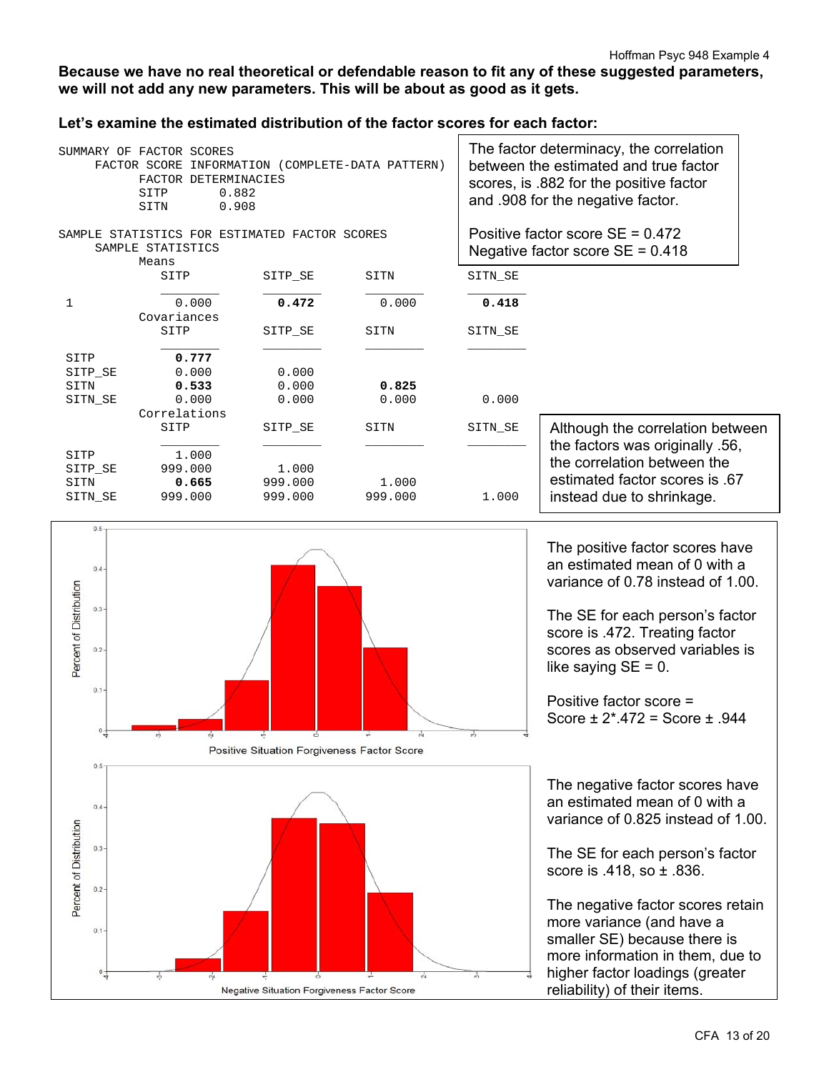## **Because we have no real theoretical or defendable reason to fit any of these suggested parameters, we will not add any new parameters. This will be about as good as it gets.**

## **Let's examine the estimated distribution of the factor scores for each factor:**

| SUMMARY OF FACTOR SCORES<br>INFORMATION (COMPLETE-DATA PATTERN)<br>FACTOR SCORE<br>FACTOR DETERMINACIES<br>0.882<br>SITP<br>0.908<br>SITN |                                                                             |         |         | The factor determinacy, the correlation<br>between the estimated and true factor<br>scores, is .882 for the positive factor<br>and .908 for the negative factor. |                                                                          |  |
|-------------------------------------------------------------------------------------------------------------------------------------------|-----------------------------------------------------------------------------|---------|---------|------------------------------------------------------------------------------------------------------------------------------------------------------------------|--------------------------------------------------------------------------|--|
|                                                                                                                                           | SAMPLE STATISTICS FOR ESTIMATED FACTOR SCORES<br>SAMPLE STATISTICS<br>Means |         |         |                                                                                                                                                                  | Positive factor score $SE = 0.472$<br>Negative factor score $SE = 0.418$ |  |
|                                                                                                                                           | SITP                                                                        | SITP SE | SITN    | SITN SE                                                                                                                                                          |                                                                          |  |
| 1                                                                                                                                         | 0.000<br>Covariances                                                        | 0.472   | 0.000   | 0.418                                                                                                                                                            |                                                                          |  |
|                                                                                                                                           | SITP                                                                        | SITP SE | SITN    | SITN SE                                                                                                                                                          |                                                                          |  |
| SITP                                                                                                                                      | 0.777                                                                       |         |         |                                                                                                                                                                  |                                                                          |  |
| SITP SE                                                                                                                                   | 0.000                                                                       | 0.000   |         |                                                                                                                                                                  |                                                                          |  |
| SITN                                                                                                                                      | 0.533                                                                       | 0.000   | 0.825   |                                                                                                                                                                  |                                                                          |  |
| SITN SE                                                                                                                                   | 0.000                                                                       | 0.000   | 0.000   | 0.000                                                                                                                                                            |                                                                          |  |
|                                                                                                                                           | Correlations                                                                |         |         |                                                                                                                                                                  |                                                                          |  |
|                                                                                                                                           | SITP                                                                        | SITP SE | SITN    | SITN SE                                                                                                                                                          | Although the correlation between<br>the factors was originally .56,      |  |
| SITP                                                                                                                                      | 1,000                                                                       |         |         |                                                                                                                                                                  |                                                                          |  |
| SITP SE                                                                                                                                   | 999.000                                                                     | 1,000   |         |                                                                                                                                                                  | the correlation between the                                              |  |
| SITN                                                                                                                                      | 0.665                                                                       | 999.000 | 1,000   |                                                                                                                                                                  | estimated factor scores is .67                                           |  |
| SITN SE                                                                                                                                   | 999.000                                                                     | 999.000 | 999.000 | 1,000                                                                                                                                                            | instead due to shrinkage.                                                |  |



The positive factor scores have an estimated mean of 0 with a variance of 0.78 instead of 1.00.

The SE for each person's factor score is .472. Treating factor scores as observed variables is like saying  $SE = 0$ .

Positive factor score = Score ± 2\*.472 = Score ± .944

The negative factor scores have an estimated mean of 0 with a variance of 0.825 instead of 1.00.

The SE for each person's factor score is .418, so ± .836.

The negative factor scores retain more variance (and have a smaller SE) because there is more information in them, due to higher factor loadings (greater reliability) of their items.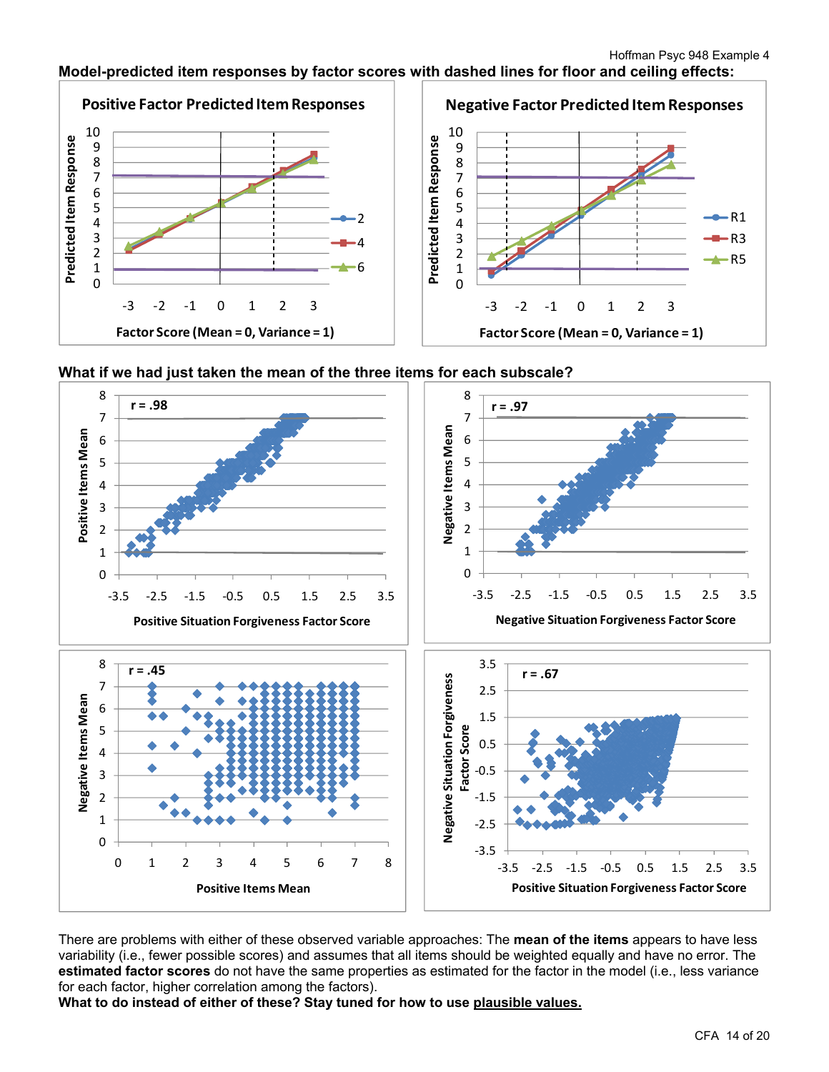# **Model-predicted item responses by factor scores with dashed lines for floor and ceiling effects:**







There are problems with either of these observed variable approaches: The **mean of the items** appears to have less variability (i.e., fewer possible scores) and assumes that all items should be weighted equally and have no error. The **estimated factor scores** do not have the same properties as estimated for the factor in the model (i.e., less variance for each factor, higher correlation among the factors).

**What to do instead of either of these? Stay tuned for how to use plausible values.**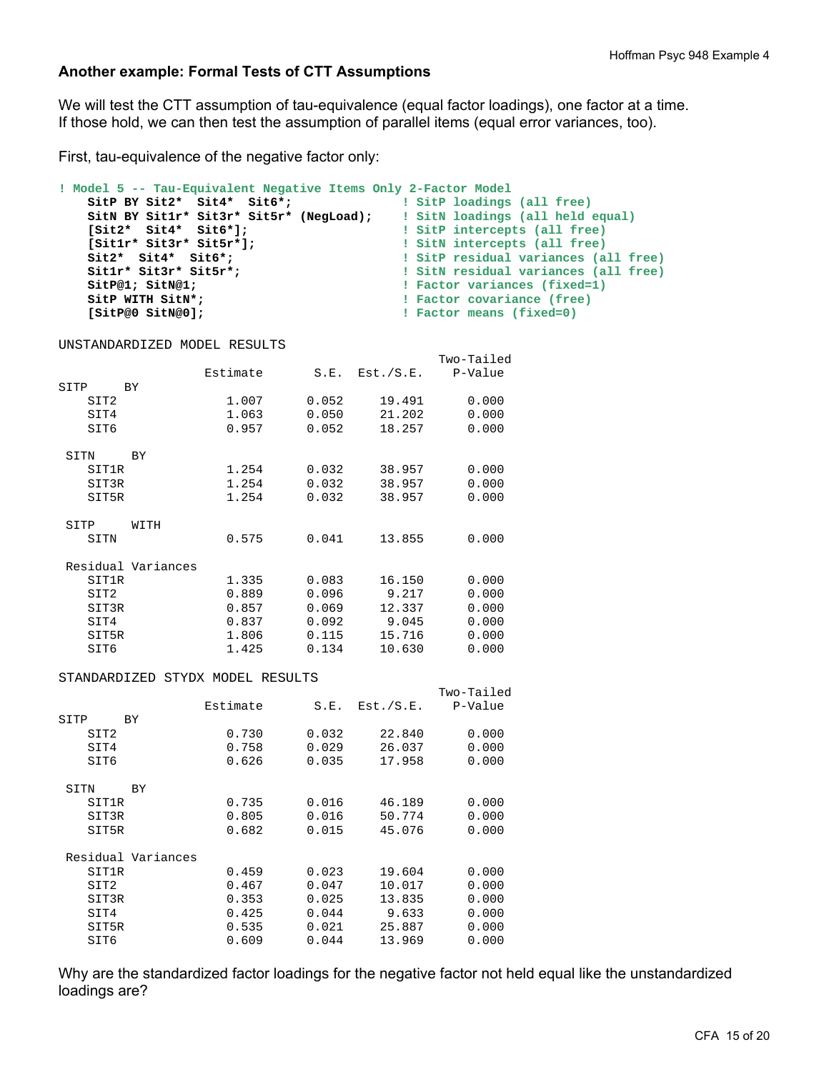### **Another example: Formal Tests of CTT Assumptions**

We will test the CTT assumption of tau-equivalence (equal factor loadings), one factor at a time. If those hold, we can then test the assumption of parallel items (equal error variances, too).

First, tau-equivalence of the negative factor only:

```
! Model 5 -- Tau-Equivalent Negative Items Only 2-Factor Model 
    SitP BY Sit2* Sit4* Sit6*; ! SitP loadings (all free)
 SitN BY Sit1r* Sit3r* Sit5r* (NegLoad); ! SitN loadings (all held equal)
 [Sit2* Sit4* Sit6*]; ! SitP intercepts (all free)
 [Sit1r* Sit3r* Sit5r*]; ! SitN intercepts (all free) 
 Sit2* Sit4* Sit6*; ! SitP residual variances (all free)
Sit1r* Sit3r* Sit5r*;                             ! SitN residual variances (all free)
SitP@1; SitN@1; Constant Constant Constant Constant Constant Constant Constant Constant Constant Constant Constant Constant Constant Constant Constant Constant Constant Constant Constant Constant Constant Constant Const
SitP WITH SitN*; \qquad \qquad ! Factor covariance (free)
 [SitP@0 SitN@0]; ! Factor means (fixed=0)
```
UNSTANDARDIZED MODEL RESULTS

|       |                    |          |       |           | Two-Tailed |
|-------|--------------------|----------|-------|-----------|------------|
|       |                    | Estimate | S.E.  | Est./S.E. | P-Value    |
| SITP  | <b>BY</b>          |          |       |           |            |
| SIT2  |                    | 1.007    | 0.052 | 19.491    | 0.000      |
| SIT4  |                    | 1.063    | 0.050 | 21.202    | 0.000      |
| SIT6  |                    | 0.957    | 0.052 | 18.257    | 0.000      |
| SITN  | <b>BY</b>          |          |       |           |            |
| SIT1R |                    | 1.254    | 0.032 | 38.957    | 0.000      |
| SIT3R |                    | 1.254    | 0.032 | 38.957    | 0.000      |
| SIT5R |                    | 1.254    | 0.032 | 38.957    | 0.000      |
| SITP  | WITH               |          |       |           |            |
| SITN  |                    | 0.575    | 0.041 | 13.855    | 0.000      |
|       | Residual Variances |          |       |           |            |
| SIT1R |                    | 1.335    | 0.083 | 16.150    | 0.000      |
| SIT2  |                    | 0.889    | 0.096 | 9.217     | 0.000      |
| SIT3R |                    | 0.857    | 0.069 | 12.337    | 0.000      |
| SIT4  |                    | 0.837    | 0.092 | 9.045     | 0.000      |
| SIT5R |                    | 1.806    | 0.115 | 15.716    | 0.000      |
| SIT6  |                    | 1.425    | 0.134 | 10.630    | 0.000      |

#### STANDARDIZED STYDX MODEL RESULTS

|                    |       |           | Two-Tailed |
|--------------------|-------|-----------|------------|
| Estimate           | S.E.  | Est./S.E. | P-Value    |
|                    |       |           |            |
| 0.730              | 0.032 | 22.840    | 0.000      |
| 0.758              | 0.029 | 26.037    | 0.000      |
| 0.626              | 0.035 | 17.958    | 0.000      |
| ВY                 |       |           |            |
| 0.735              | 0.016 | 46.189    | 0.000      |
| 0.805              | 0.016 | 50.774    | 0.000      |
| 0.682              | 0.015 | 45.076    | 0.000      |
| Residual Variances |       |           |            |
| 0.459              | 0.023 | 19.604    | 0.000      |
| 0.467              | 0.047 | 10.017    | 0.000      |
| 0.353              | 0.025 | 13.835    | 0.000      |
| 0.425              | 0.044 | 9.633     | 0.000      |
| 0.535              | 0.021 | 25.887    | 0.000      |
| 0.609              | 0.044 | 13.969    | 0.000      |
|                    |       |           |            |

Why are the standardized factor loadings for the negative factor not held equal like the unstandardized loadings are?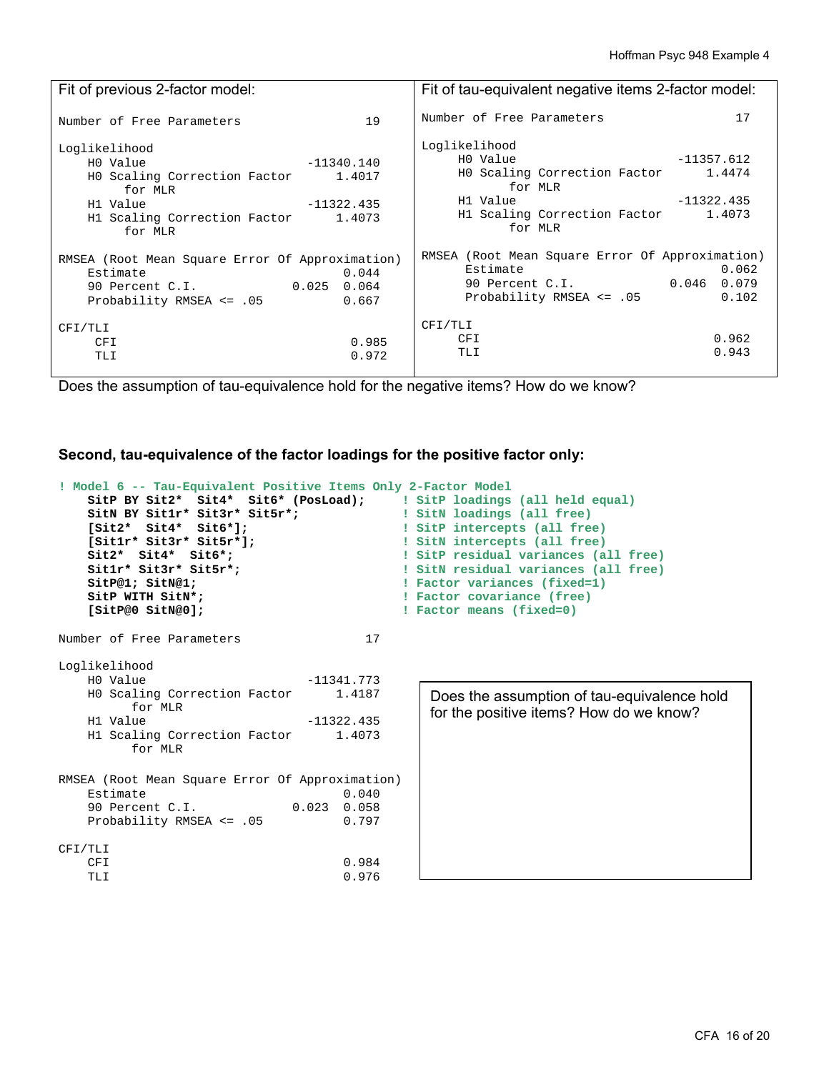| Fit of previous 2-factor model:                                                                                                                                     | Fit of tau-equivalent negative items 2-factor model:                                                                                                                         |  |  |
|---------------------------------------------------------------------------------------------------------------------------------------------------------------------|------------------------------------------------------------------------------------------------------------------------------------------------------------------------------|--|--|
| 19                                                                                                                                                                  | 17                                                                                                                                                                           |  |  |
| Number of Free Parameters                                                                                                                                           | Number of Free Parameters                                                                                                                                                    |  |  |
| Loglikelihood<br>HO Value<br>-11340.140<br>HO Scaling Correction Factor 1.4017<br>for MLR<br>H1 Value - 11322.435<br>H1 Scaling Correction Factor 1.4073<br>for MLR | Loglikelihood<br>$-11357.612$<br>HO Value<br>HO Scaling Correction Factor 1.4474<br>for MLR<br>H1 Value<br>$-11322.435$<br>H1 Scaling Correction Factor<br>1.4073<br>for MLR |  |  |
| RMSEA (Root Mean Square Error Of Approximation)                                                                                                                     | RMSEA (Root Mean Square Error Of Approximation)                                                                                                                              |  |  |
| 0.044                                                                                                                                                               | 0.062                                                                                                                                                                        |  |  |
| Estimate                                                                                                                                                            | Estimate                                                                                                                                                                     |  |  |
| 90 Percent C.I. 0.025 0.064                                                                                                                                         | 90 Percent C.I. 0.046 0.079                                                                                                                                                  |  |  |
| Probability RMSEA <= .05                                                                                                                                            | Probability RMSEA <= .05                                                                                                                                                     |  |  |
| 0.667                                                                                                                                                               | 0.102                                                                                                                                                                        |  |  |
| CFI/TLI                                                                                                                                                             | CFI/TLI                                                                                                                                                                      |  |  |
| 0.985                                                                                                                                                               | 0.962                                                                                                                                                                        |  |  |
| <b>CFI</b>                                                                                                                                                          | CFI                                                                                                                                                                          |  |  |
| 0.972                                                                                                                                                               | 0.943                                                                                                                                                                        |  |  |
| TLI                                                                                                                                                                 | TLI                                                                                                                                                                          |  |  |

Does the assumption of tau-equivalence hold for the negative items? How do we know?

**Second, tau-equivalence of the factor loadings for the positive factor only:** 

```
! Model 6 -- Tau-Equivalent Positive Items Only 2-Factor Model 
     SitP BY Sit2* Sit4* Sit6* (PosLoad); ! SitP loadings (all held equal)
    SitN BY Sit1r* Sit3r* Sit5r*; 1 SitN loadings (all free)
     [Sit2* Sit4* Sit6*]; ! SitP intercepts (all free)
                                                 ! SitN intercepts (all free)
    Sit2* Sit4* Sit6*;                             ! SitP residual variances (all free)<br>
Sit1r* Sit3r* Sit5r*;                         ! SitN residual variances (all free)
                                                 ! SitN residual variances (all free)
    SitP@1; SitN@1; \qquad \qquad Pactor variances (fixed=1)<br>
SitP WITH SitN*; \qquad \qquad Pactor covariance (free)
    SitP WITH SitN*;<br>
SitP@0 SitN@0]; Tactor means (fixed=0)
                                                 ! Factor means (fixed=0)
Number of Free Parameters 17
Loglikelihood<br>H0 Value
                                   -11341.773 H0 Scaling Correction Factor 1.4187 
    for MLR<br>H1 Value
                                   -11322.435 H1 Scaling Correction Factor 1.4073 
           for MLR 
RMSEA (Root Mean Square Error Of Approximation) 
    Estimate 0.040<br>90 Percent C.I. 0.023 0.058
    90 Percent C.I.
    Probability RMSEA <= .05 0.797
CFI/TLI 
                                         0.984<br>0.976TLI 0.976
                                                      Does the assumption of tau-equivalence hold 
                                                      for the positive items? How do we know?
```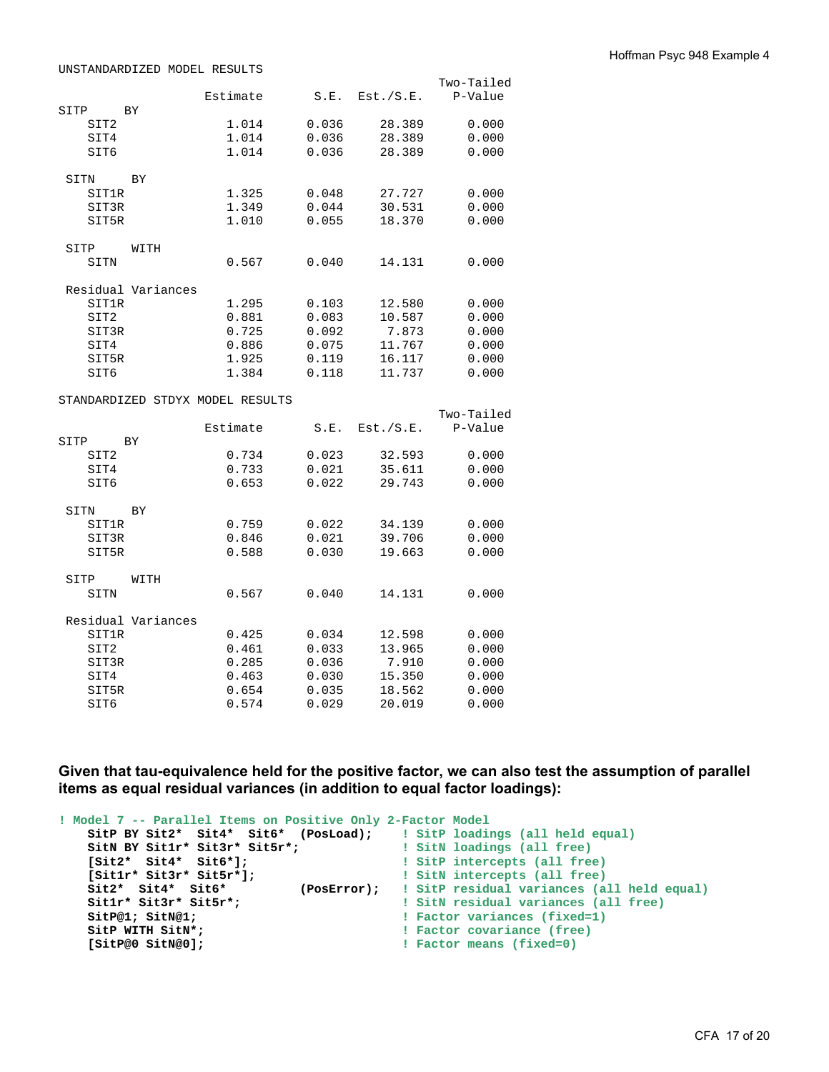|              |                    |                                  |       |           | Two-Tailed |
|--------------|--------------------|----------------------------------|-------|-----------|------------|
|              |                    | Estimate                         | S.E.  | Est./S.E. | P-Value    |
| SITP         | BY                 |                                  |       |           |            |
| SIT2         |                    | 1.014                            | 0.036 | 28.389    | 0.000      |
| SIT4         |                    | 1.014                            | 0.036 | 28.389    | 0.000      |
| SIT6         |                    | 1.014                            | 0.036 | 28.389    | 0.000      |
|              |                    |                                  |       |           |            |
| SITN         | BY                 |                                  |       |           |            |
| SIT1R        |                    | 1.325                            | 0.048 | 27.727    | 0.000      |
| SIT3R        |                    | 1.349                            | 0.044 | 30.531    | 0.000      |
| SIT5R        |                    | 1.010                            | 0.055 | 18.370    | 0.000      |
|              |                    |                                  |       |           |            |
| SITP         | WITH               |                                  |       |           |            |
| SITN         |                    | 0.567                            | 0.040 | 14.131    | 0.000      |
|              |                    |                                  |       |           |            |
|              | Residual Variances |                                  |       |           |            |
| SIT1R        |                    | 1.295                            | 0.103 | 12.580    | 0.000      |
| SIT2         |                    | 0.881                            | 0.083 | 10.587    | 0.000      |
| SIT3R        |                    | 0.725                            | 0.092 | 7.873     | 0.000      |
| SIT4         |                    | 0.886                            | 0.075 | 11.767    | 0.000      |
| SIT5R        |                    | 1.925                            | 0.119 | 16.117    | 0.000      |
| SIT6         |                    | 1.384                            | 0.118 | 11.737    | 0.000      |
|              |                    |                                  |       |           |            |
|              |                    | STANDARDIZED STDYX MODEL RESULTS |       |           |            |
|              |                    |                                  |       |           | Two-Tailed |
|              |                    | Estimate                         | S.E.  | Est./S.E. | P-Value    |
| SITP         | BY                 |                                  |       |           |            |
| SIT2         |                    | 0.734                            | 0.023 | 32.593    | 0.000      |
| SIT4         |                    | 0.733                            | 0.021 | 35.611    | 0.000      |
| SIT6         |                    | 0.653                            | 0.022 | 29.743    | 0.000      |
|              |                    |                                  |       |           |            |
| SITN         | BY                 |                                  |       |           |            |
| <b>SIT1R</b> |                    | 0.759                            | 0.022 | 34.139    | 0.000      |
| SIT3R        |                    | 0.846                            | 0.021 | 39.706    | 0.000      |
| SIT5R        |                    | 0.588                            | 0.030 | 19.663    | 0.000      |
|              |                    |                                  |       |           |            |
|              | WITH               |                                  |       |           |            |
| SITP         |                    | 0.567                            | 0.040 | 14.131    | 0.000      |
| SITN         |                    |                                  |       |           |            |
|              | Residual Variances |                                  |       |           |            |
| SIT1R        |                    | 0.425                            | 0.034 | 12.598    | 0.000      |
|              |                    |                                  |       |           |            |
| SIT2         |                    | 0.461                            | 0.033 | 13.965    | 0.000      |
| SIT3R        |                    | 0.285                            | 0.036 | 7.910     | 0.000      |
| SIT4         |                    | 0.463                            | 0.030 | 15.350    | 0.000      |
| SIT5R        |                    | 0.654                            | 0.035 | 18.562    | 0.000      |
| SIT6         |                    | 0.574                            | 0.029 | 20.019    | 0.000      |

**Given that tau-equivalence held for the positive factor, we can also test the assumption of parallel items as equal residual variances (in addition to equal factor loadings):** 

| ! Model 7 -- Parallel Items on Positive Only 2-Factor Model              |                                                        |
|--------------------------------------------------------------------------|--------------------------------------------------------|
| SitP BY Sit2* Sit4* Sit6* (PosLoad);    ! SitP loadings (all held equal) |                                                        |
| SitN BY Sit1r* Sit3r* Sit5r*;                                            | ! SitN loadings (all free)                             |
| $[sit2* sit4* sit6*];$                                                   | ! SitP intercepts (all free)                           |
| $[sitt1r* sit3r* sit5r*];$                                               | ! SitN intercepts (all free)                           |
| $\texttt{Sit2*}$ $\texttt{Sit4*}$ $\texttt{Sit6*}$                       | (PosError); ! SitP residual variances (all held equal) |
| Sitlr* Sit3r* Sit5r*;                                                    | ! SitN residual variances (all free)                   |
| SitP@1; SitN@1;                                                          | ! Factor variances (fixed=1)                           |
| SitP WITH SitN*;                                                         | ! Factor covariance (free)                             |
| [SitP@0 SitN@0];                                                         | ! Factor means (fixed=0)                               |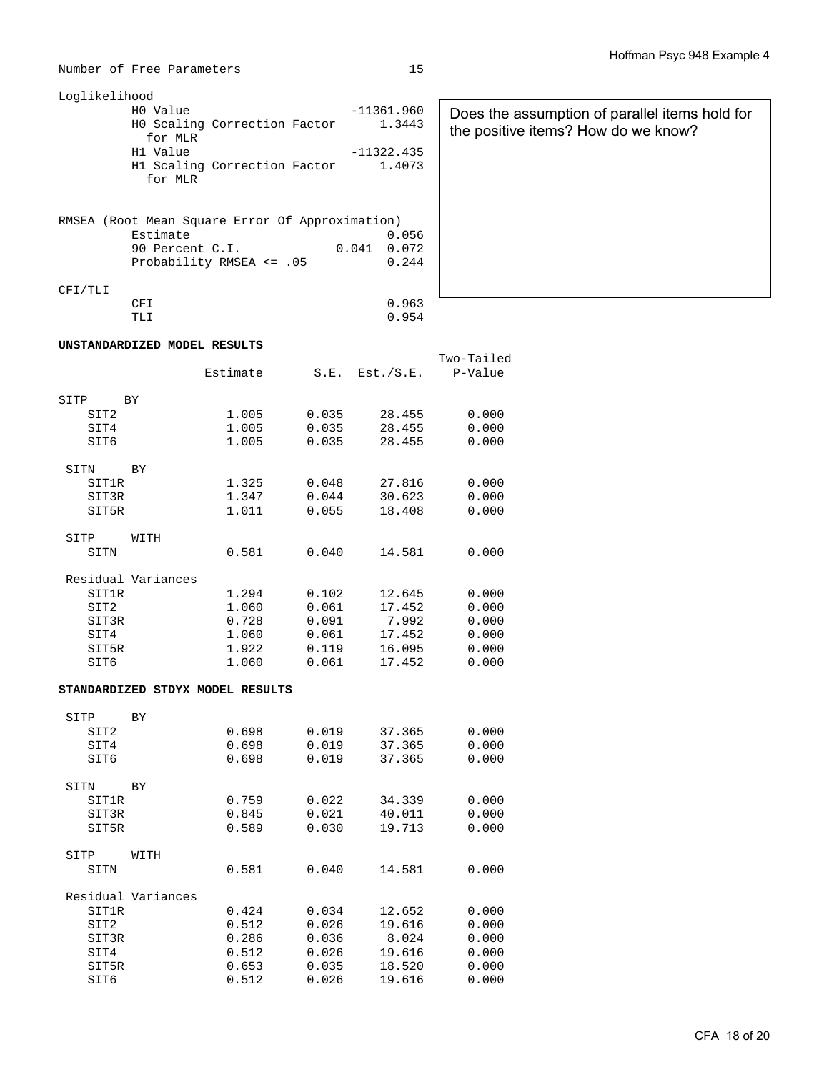Number of Free Parameters 15

| $-11361.960$<br>1.3443 | Does the assump<br>the positive items                                                                                                    |
|------------------------|------------------------------------------------------------------------------------------------------------------------------------------|
| $-11322.435$           |                                                                                                                                          |
|                        |                                                                                                                                          |
|                        |                                                                                                                                          |
| $0.041$ 0.072          |                                                                                                                                          |
| 0.244                  |                                                                                                                                          |
|                        |                                                                                                                                          |
| 0.963                  |                                                                                                                                          |
|                        |                                                                                                                                          |
|                        | HO Scaling Correction Factor<br>H1 Scaling Correction Factor 1.4073<br>RMSEA (Root Mean Square Error Of Approximation)<br>0.056<br>0.954 |

#### **UNSTANDARDIZED MODEL RESULTS**

|                  |                    | Estimate                         | S.E.  | Est./S.E. | Two-Tailed<br>P-Value |
|------------------|--------------------|----------------------------------|-------|-----------|-----------------------|
|                  |                    |                                  |       |           |                       |
| SITP<br>SIT2     | BY                 | 1.005                            | 0.035 | 28.455    | 0.000                 |
| SIT4             |                    | 1.005                            | 0.035 | 28.455    | 0.000                 |
| SIT6             |                    | 1.005                            | 0.035 | 28.455    | 0.000                 |
|                  |                    |                                  |       |           |                       |
| SITN             | <b>BY</b>          |                                  |       |           |                       |
| <b>SIT1R</b>     |                    | 1.325                            | 0.048 | 27.816    | 0.000                 |
| SIT3R            |                    | 1.347                            | 0.044 | 30.623    | 0.000                 |
| SIT5R            |                    | 1.011                            | 0.055 | 18.408    | 0.000                 |
| SITP             | WITH               |                                  |       |           |                       |
| SITN             |                    | 0.581                            | 0.040 | 14.581    | 0.000                 |
|                  | Residual Variances |                                  |       |           |                       |
| SIT1R            |                    | 1.294                            | 0.102 | 12.645    | 0.000                 |
| SIT <sub>2</sub> |                    | 1.060                            | 0.061 | 17.452    | 0.000                 |
| SIT3R            |                    | 0.728                            | 0.091 | 7.992     | 0.000                 |
| SIT4             |                    | 1.060                            | 0.061 | 17.452    | 0.000                 |
| SIT5R            |                    | 1.922                            | 0.119 | 16.095    | 0.000                 |
| SIT6             |                    | 1.060                            | 0.061 | 17.452    | 0.000                 |
|                  |                    | STANDARDIZED STDYX MODEL RESULTS |       |           |                       |
| SITP             | BY                 |                                  |       |           |                       |
| SIT2             |                    | 0.698                            | 0.019 | 37.365    | 0.000                 |
| SIT4             |                    | 0.698                            | 0.019 | 37.365    | 0.000                 |
| SIT6             |                    | 0.698                            | 0.019 | 37.365    | 0.000                 |
|                  |                    |                                  |       |           |                       |
| SITN             | BY                 |                                  |       |           |                       |
| SIT1R            |                    | 0.759                            | 0.022 | 34.339    | 0.000                 |
| SIT3R            |                    | 0.845                            | 0.021 | 40.011    | 0.000                 |
| SIT5R            |                    | 0.589                            | 0.030 | 19.713    | 0.000                 |
| SITP             | WITH               |                                  |       |           |                       |
| SITN             |                    | 0.581                            | 0.040 | 14.581    | 0.000                 |
|                  | Residual Variances |                                  |       |           |                       |
| SIT1R            |                    | 0.424                            | 0.034 | 12.652    | 0.000                 |
| SIT2             |                    | 0.512                            | 0.026 | 19.616    | 0.000                 |

 SIT3R 0.286 0.036 8.024 0.000 SIT4 0.512 0.026 19.616 0.000 SIT5R 0.653 0.035 18.520 0.000 SIT6 0.512 0.026 19.616 0.000

| Does the assumption of parallel items hold for<br>the positive items? How do we know? |
|---------------------------------------------------------------------------------------|
|                                                                                       |
|                                                                                       |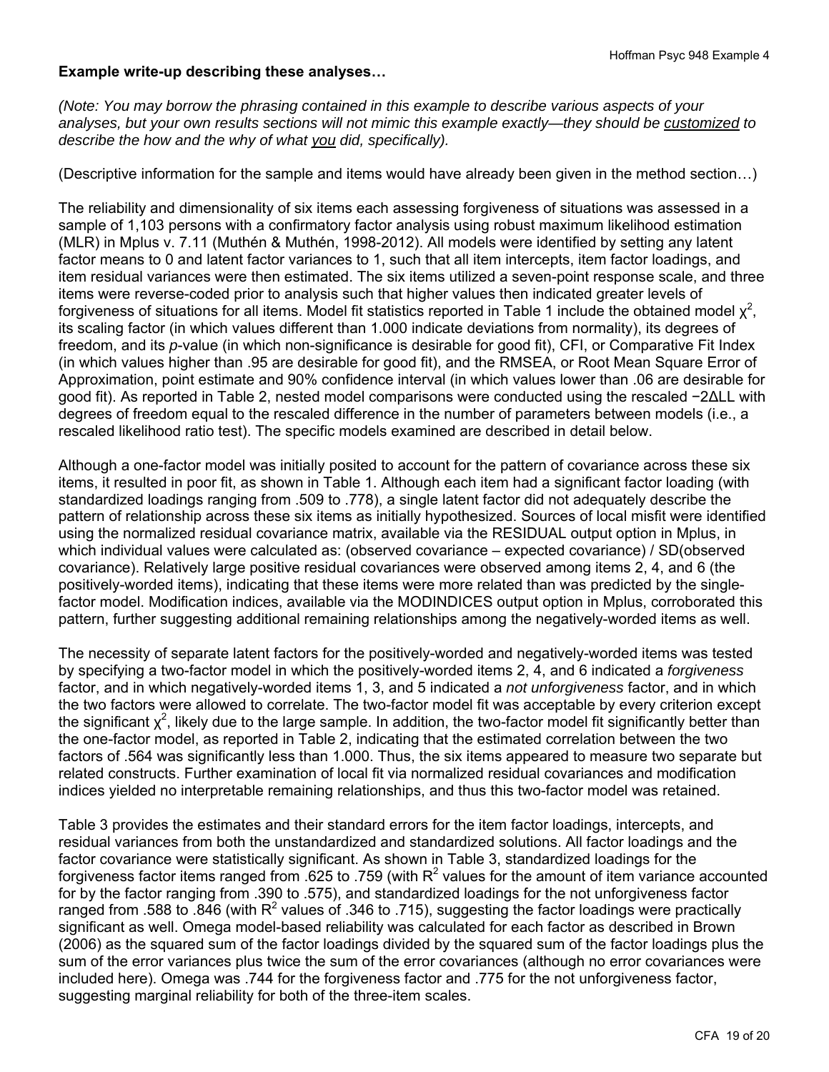### **Example write-up describing these analyses…**

*(Note: You may borrow the phrasing contained in this example to describe various aspects of your analyses, but your own results sections will not mimic this example exactly—they should be customized to describe the how and the why of what you did, specifically).* 

(Descriptive information for the sample and items would have already been given in the method section…)

The reliability and dimensionality of six items each assessing forgiveness of situations was assessed in a sample of 1,103 persons with a confirmatory factor analysis using robust maximum likelihood estimation (MLR) in Mplus v. 7.11 (Muthén & Muthén, 1998-2012). All models were identified by setting any latent factor means to 0 and latent factor variances to 1, such that all item intercepts, item factor loadings, and item residual variances were then estimated. The six items utilized a seven-point response scale, and three items were reverse-coded prior to analysis such that higher values then indicated greater levels of forgiveness of situations for all items. Model fit statistics reported in Table 1 include the obtained model  $\chi^2$ , its scaling factor (in which values different than 1.000 indicate deviations from normality), its degrees of freedom, and its *p*-value (in which non-significance is desirable for good fit), CFI, or Comparative Fit Index (in which values higher than .95 are desirable for good fit), and the RMSEA, or Root Mean Square Error of Approximation, point estimate and 90% confidence interval (in which values lower than .06 are desirable for good fit). As reported in Table 2, nested model comparisons were conducted using the rescaled −2ΔLL with degrees of freedom equal to the rescaled difference in the number of parameters between models (i.e., a rescaled likelihood ratio test). The specific models examined are described in detail below.

Although a one-factor model was initially posited to account for the pattern of covariance across these six items, it resulted in poor fit, as shown in Table 1. Although each item had a significant factor loading (with standardized loadings ranging from .509 to .778), a single latent factor did not adequately describe the pattern of relationship across these six items as initially hypothesized. Sources of local misfit were identified using the normalized residual covariance matrix, available via the RESIDUAL output option in Mplus, in which individual values were calculated as: (observed covariance – expected covariance) / SD(observed covariance). Relatively large positive residual covariances were observed among items 2, 4, and 6 (the positively-worded items), indicating that these items were more related than was predicted by the singlefactor model. Modification indices, available via the MODINDICES output option in Mplus, corroborated this pattern, further suggesting additional remaining relationships among the negatively-worded items as well.

The necessity of separate latent factors for the positively-worded and negatively-worded items was tested by specifying a two-factor model in which the positively-worded items 2, 4, and 6 indicated a *forgiveness* factor, and in which negatively-worded items 1, 3, and 5 indicated a *not unforgiveness* factor, and in which the two factors were allowed to correlate. The two-factor model fit was acceptable by every criterion except the significant  $\chi^2$ , likely due to the large sample. In addition, the two-factor model fit significantly better than the one-factor model, as reported in Table 2, indicating that the estimated correlation between the two factors of .564 was significantly less than 1.000. Thus, the six items appeared to measure two separate but related constructs. Further examination of local fit via normalized residual covariances and modification indices yielded no interpretable remaining relationships, and thus this two-factor model was retained.

Table 3 provides the estimates and their standard errors for the item factor loadings, intercepts, and residual variances from both the unstandardized and standardized solutions. All factor loadings and the factor covariance were statistically significant. As shown in Table 3, standardized loadings for the forgiveness factor items ranged from .625 to .759 (with R<sup>2</sup> values for the amount of item variance accounted for by the factor ranging from .390 to .575), and standardized loadings for the not unforgiveness factor ranged from .588 to .846 (with R<sup>2</sup> values of .346 to .715), suggesting the factor loadings were practically significant as well. Omega model-based reliability was calculated for each factor as described in Brown (2006) as the squared sum of the factor loadings divided by the squared sum of the factor loadings plus the sum of the error variances plus twice the sum of the error covariances (although no error covariances were included here). Omega was .744 for the forgiveness factor and .775 for the not unforgiveness factor, suggesting marginal reliability for both of the three-item scales.